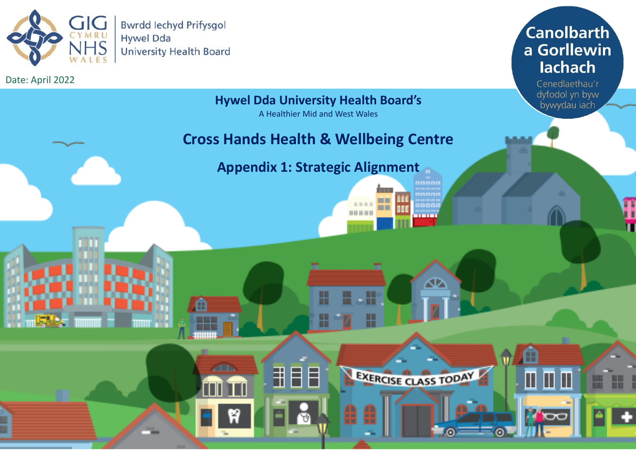

Date: April 2022

**Canolbarth** a Gorllewin lachach

> Cenedlaethau'r dyfodol yn byw bywydau iach

н

 $\blacksquare$ 

**ICXC** 

m

**Hywel Dda University Health Board's**

A Healthier Mid and West Wales

## **Cross Hands Health & Wellbeing Centre**

**Appendix 1: Strategic Alignment**

₩

H

田目目

m

**ZED** 

aaaai

∞

EXERCISE CLASS TODAY

T

**BODD OF HEAD**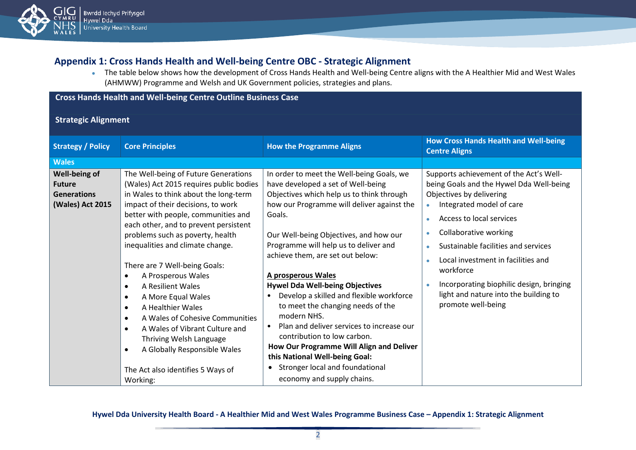

## **Appendix 1: Cross Hands Health and Well-being Centre OBC - Strategic Alignment**

● The table below shows how the development of Cross Hands Health and Well-being Centre aligns with the A Healthier Mid and West Wales (AHMWW) Programme and Welsh and UK Government policies, strategies and plans.

### **Cross Hands Health and Well-being Centre Outline Business Case**

**Strategic Alignment**

| <b>Strategy / Policy</b>                                                 | <b>Core Principles</b>                                                                                                                                                                                                                                                                                                                                                                                                                                                                                                                                                                                                                                                             | <b>How the Programme Aligns</b>                                                                                                                                                                                                                                                                                                                                                                                                                                                                                                                                                                                                                                                                                                  | <b>How Cross Hands Health and Well-being</b><br><b>Centre Aligns</b>                                                                                                                                                                                                                                                                                                                                                                              |
|--------------------------------------------------------------------------|------------------------------------------------------------------------------------------------------------------------------------------------------------------------------------------------------------------------------------------------------------------------------------------------------------------------------------------------------------------------------------------------------------------------------------------------------------------------------------------------------------------------------------------------------------------------------------------------------------------------------------------------------------------------------------|----------------------------------------------------------------------------------------------------------------------------------------------------------------------------------------------------------------------------------------------------------------------------------------------------------------------------------------------------------------------------------------------------------------------------------------------------------------------------------------------------------------------------------------------------------------------------------------------------------------------------------------------------------------------------------------------------------------------------------|---------------------------------------------------------------------------------------------------------------------------------------------------------------------------------------------------------------------------------------------------------------------------------------------------------------------------------------------------------------------------------------------------------------------------------------------------|
| <b>Wales</b>                                                             |                                                                                                                                                                                                                                                                                                                                                                                                                                                                                                                                                                                                                                                                                    |                                                                                                                                                                                                                                                                                                                                                                                                                                                                                                                                                                                                                                                                                                                                  |                                                                                                                                                                                                                                                                                                                                                                                                                                                   |
| Well-being of<br><b>Future</b><br><b>Generations</b><br>(Wales) Act 2015 | The Well-being of Future Generations<br>(Wales) Act 2015 requires public bodies<br>in Wales to think about the long-term<br>impact of their decisions, to work<br>better with people, communities and<br>each other, and to prevent persistent<br>problems such as poverty, health<br>inequalities and climate change.<br>There are 7 Well-being Goals:<br>A Prosperous Wales<br>A Resilient Wales<br>$\bullet$<br>A More Equal Wales<br>$\bullet$<br>A Healthier Wales<br>$\bullet$<br>A Wales of Cohesive Communities<br>$\bullet$<br>A Wales of Vibrant Culture and<br>Thriving Welsh Language<br>A Globally Responsible Wales<br>The Act also identifies 5 Ways of<br>Working: | In order to meet the Well-being Goals, we<br>have developed a set of Well-being<br>Objectives which help us to think through<br>how our Programme will deliver against the<br>Goals.<br>Our Well-being Objectives, and how our<br>Programme will help us to deliver and<br>achieve them, are set out below:<br>A prosperous Wales<br><b>Hywel Dda Well-being Objectives</b><br>Develop a skilled and flexible workforce<br>$\bullet$<br>to meet the changing needs of the<br>modern NHS.<br>Plan and deliver services to increase our<br>contribution to low carbon.<br>How Our Programme Will Align and Deliver<br>this National Well-being Goal:<br>Stronger local and foundational<br>$\bullet$<br>economy and supply chains. | Supports achievement of the Act's Well-<br>being Goals and the Hywel Dda Well-being<br>Objectives by delivering<br>Integrated model of care<br>Access to local services<br>$\bullet$<br>Collaborative working<br>$\bullet$<br>Sustainable facilities and services<br>ò<br>Local investment in facilities and<br>$\bullet$<br>workforce<br>Incorporating biophilic design, bringing<br>light and nature into the building to<br>promote well-being |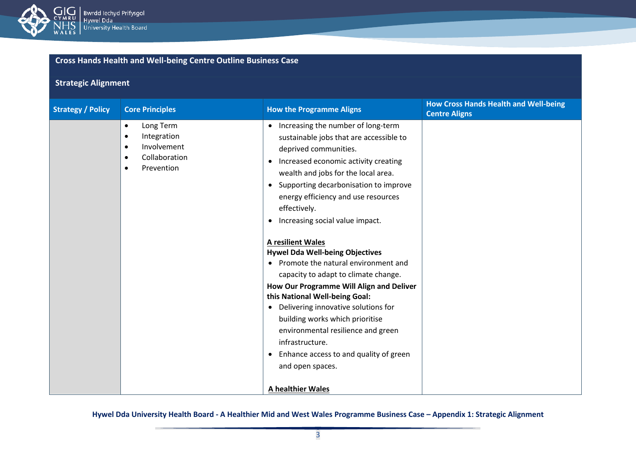

## **Strategic Alignment**

| <b>Strategy / Policy</b> | <b>Core Principles</b>                                                                                                                  | <b>How the Programme Aligns</b>                                                                                                                                                                                                                                                                                                                                                                                                                                                                                                                                                                                                                                                                                                                                                                                                                    | <b>How Cross Hands Health and Well-being</b><br><b>Centre Aligns</b> |
|--------------------------|-----------------------------------------------------------------------------------------------------------------------------------------|----------------------------------------------------------------------------------------------------------------------------------------------------------------------------------------------------------------------------------------------------------------------------------------------------------------------------------------------------------------------------------------------------------------------------------------------------------------------------------------------------------------------------------------------------------------------------------------------------------------------------------------------------------------------------------------------------------------------------------------------------------------------------------------------------------------------------------------------------|----------------------------------------------------------------------|
|                          | Long Term<br>$\bullet$<br>Integration<br>$\bullet$<br>Involvement<br>$\bullet$<br>Collaboration<br>$\bullet$<br>Prevention<br>$\bullet$ | Increasing the number of long-term<br>$\bullet$<br>sustainable jobs that are accessible to<br>deprived communities.<br>Increased economic activity creating<br>$\bullet$<br>wealth and jobs for the local area.<br>Supporting decarbonisation to improve<br>$\bullet$<br>energy efficiency and use resources<br>effectively.<br>Increasing social value impact.<br><b>A resilient Wales</b><br><b>Hywel Dda Well-being Objectives</b><br>Promote the natural environment and<br>capacity to adapt to climate change.<br>How Our Programme Will Align and Deliver<br>this National Well-being Goal:<br>Delivering innovative solutions for<br>$\bullet$<br>building works which prioritise<br>environmental resilience and green<br>infrastructure.<br>Enhance access to and quality of green<br>$\bullet$<br>and open spaces.<br>A healthier Wales |                                                                      |
|                          |                                                                                                                                         |                                                                                                                                                                                                                                                                                                                                                                                                                                                                                                                                                                                                                                                                                                                                                                                                                                                    |                                                                      |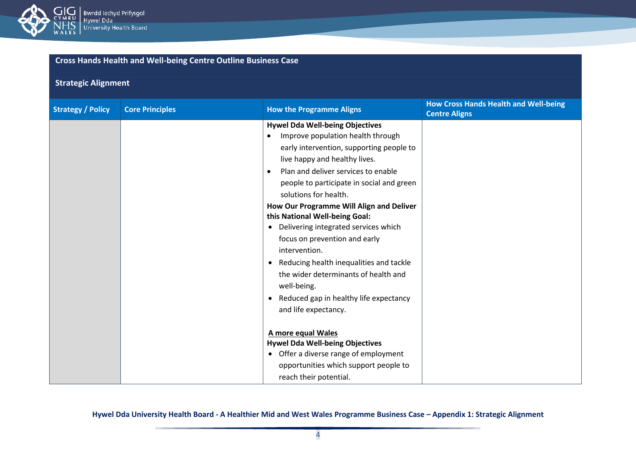

## **Strategic Alignment**

| <b>Strategy / Policy</b> | <b>Core Principles</b> | <b>How the Programme Aligns</b>                                                                                                                                                                                                                                                                                                                                  | <b>How Cross Hands Health and Well-being</b><br><b>Centre Aligns</b> |
|--------------------------|------------------------|------------------------------------------------------------------------------------------------------------------------------------------------------------------------------------------------------------------------------------------------------------------------------------------------------------------------------------------------------------------|----------------------------------------------------------------------|
|                          |                        | <b>Hywel Dda Well-being Objectives</b><br>Improve population health through<br>early intervention, supporting people to<br>live happy and healthy lives.<br>Plan and deliver services to enable<br>$\bullet$<br>people to participate in social and green<br>solutions for health.<br>How Our Programme Will Align and Deliver<br>this National Well-being Goal: |                                                                      |
|                          |                        | Delivering integrated services which<br>$\bullet$<br>focus on prevention and early<br>intervention.<br>Reducing health inequalities and tackle<br>٠<br>the wider determinants of health and<br>well-being.<br>Reduced gap in healthy life expectancy<br>$\bullet$<br>and life expectancy.                                                                        |                                                                      |
|                          |                        | A more equal Wales<br><b>Hywel Dda Well-being Objectives</b><br>Offer a diverse range of employment<br>$\bullet$<br>opportunities which support people to<br>reach their potential.                                                                                                                                                                              |                                                                      |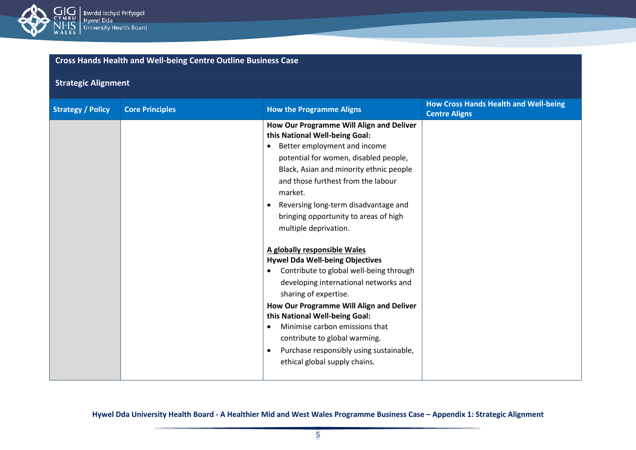

## **Strategic Alignment**

| <b>Strategy / Policy</b> | <b>Core Principles</b> | <b>How the Programme Aligns</b>                                                                                                                                                                                                                                                                                                                                                                                                                                                                                                                                                                                                                                                                                                                                                    | <b>How Cross Hands Health and Well-being</b><br><b>Centre Aligns</b> |
|--------------------------|------------------------|------------------------------------------------------------------------------------------------------------------------------------------------------------------------------------------------------------------------------------------------------------------------------------------------------------------------------------------------------------------------------------------------------------------------------------------------------------------------------------------------------------------------------------------------------------------------------------------------------------------------------------------------------------------------------------------------------------------------------------------------------------------------------------|----------------------------------------------------------------------|
|                          |                        | How Our Programme Will Align and Deliver<br>this National Well-being Goal:<br>Better employment and income<br>potential for women, disabled people,<br>Black, Asian and minority ethnic people<br>and those furthest from the labour<br>market.<br>Reversing long-term disadvantage and<br>bringing opportunity to areas of high<br>multiple deprivation.<br>A globally responsible Wales<br><b>Hywel Dda Well-being Objectives</b><br>Contribute to global well-being through<br>developing international networks and<br>sharing of expertise.<br>How Our Programme Will Align and Deliver<br>this National Well-being Goal:<br>Minimise carbon emissions that<br>contribute to global warming.<br>Purchase responsibly using sustainable,<br>٠<br>ethical global supply chains. |                                                                      |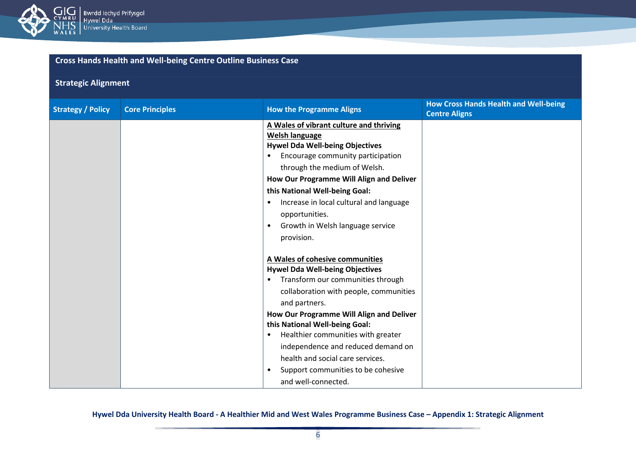

## **Strategic Alignment**

| <b>Strategy / Policy</b> | <b>Core Principles</b> | <b>How the Programme Aligns</b>                                                                                                                                                                                                                                                                                                                                                                                                                                | <b>How Cross Hands Health and Well-being</b><br><b>Centre Aligns</b> |
|--------------------------|------------------------|----------------------------------------------------------------------------------------------------------------------------------------------------------------------------------------------------------------------------------------------------------------------------------------------------------------------------------------------------------------------------------------------------------------------------------------------------------------|----------------------------------------------------------------------|
|                          |                        | A Wales of vibrant culture and thriving<br><b>Welsh language</b><br><b>Hywel Dda Well-being Objectives</b><br>Encourage community participation<br>through the medium of Welsh.<br>How Our Programme Will Align and Deliver<br>this National Well-being Goal:<br>Increase in local cultural and language<br>opportunities.<br>Growth in Welsh language service<br>provision.                                                                                   |                                                                      |
|                          |                        | A Wales of cohesive communities<br><b>Hywel Dda Well-being Objectives</b><br>Transform our communities through<br>$\bullet$<br>collaboration with people, communities<br>and partners.<br>How Our Programme Will Align and Deliver<br>this National Well-being Goal:<br>Healthier communities with greater<br>$\bullet$<br>independence and reduced demand on<br>health and social care services.<br>Support communities to be cohesive<br>and well-connected. |                                                                      |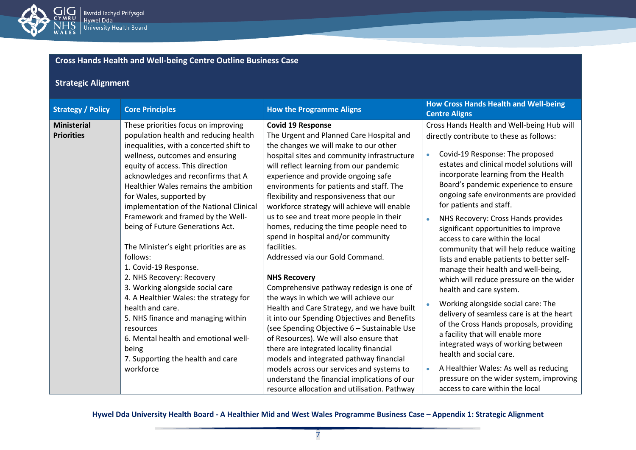

## **Strategic Alignment**

| <b>Strategy / Policy</b>                | <b>Core Principles</b>                                                                                                                                                                                                                                                                                                                                                                                                                                                                                                                                                                                                                                                          | <b>How the Programme Aligns</b>                                                                                                                                                                                                                                                                                                                                                                                                                                                                                                                                                                                                                                                                                                                                                | <b>How Cross Hands Health and Well-being</b><br><b>Centre Aligns</b>                                                                                                                                                                                                                                                                                                                                                                                                                                                                                                                                                                                                                                                                                                             |
|-----------------------------------------|---------------------------------------------------------------------------------------------------------------------------------------------------------------------------------------------------------------------------------------------------------------------------------------------------------------------------------------------------------------------------------------------------------------------------------------------------------------------------------------------------------------------------------------------------------------------------------------------------------------------------------------------------------------------------------|--------------------------------------------------------------------------------------------------------------------------------------------------------------------------------------------------------------------------------------------------------------------------------------------------------------------------------------------------------------------------------------------------------------------------------------------------------------------------------------------------------------------------------------------------------------------------------------------------------------------------------------------------------------------------------------------------------------------------------------------------------------------------------|----------------------------------------------------------------------------------------------------------------------------------------------------------------------------------------------------------------------------------------------------------------------------------------------------------------------------------------------------------------------------------------------------------------------------------------------------------------------------------------------------------------------------------------------------------------------------------------------------------------------------------------------------------------------------------------------------------------------------------------------------------------------------------|
| <b>Ministerial</b><br><b>Priorities</b> | These priorities focus on improving<br>population health and reducing health<br>inequalities, with a concerted shift to<br>wellness, outcomes and ensuring<br>equity of access. This direction<br>acknowledges and reconfirms that A<br>Healthier Wales remains the ambition<br>for Wales, supported by<br>implementation of the National Clinical<br>Framework and framed by the Well-<br>being of Future Generations Act.<br>The Minister's eight priorities are as<br>follows:<br>1. Covid-19 Response.<br>2. NHS Recovery: Recovery<br>3. Working alongside social care<br>4. A Healthier Wales: the strategy for<br>health and care.<br>5. NHS finance and managing within | <b>Covid 19 Response</b><br>The Urgent and Planned Care Hospital and<br>the changes we will make to our other<br>hospital sites and community infrastructure<br>will reflect learning from our pandemic<br>experience and provide ongoing safe<br>environments for patients and staff. The<br>flexibility and responsiveness that our<br>workforce strategy will achieve will enable<br>us to see and treat more people in their<br>homes, reducing the time people need to<br>spend in hospital and/or community<br>facilities.<br>Addressed via our Gold Command.<br><b>NHS Recovery</b><br>Comprehensive pathway redesign is one of<br>the ways in which we will achieve our<br>Health and Care Strategy, and we have built<br>it into our Spending Objectives and Benefits | Cross Hands Health and Well-being Hub will<br>directly contribute to these as follows:<br>Covid-19 Response: The proposed<br>estates and clinical model solutions will<br>incorporate learning from the Health<br>Board's pandemic experience to ensure<br>ongoing safe environments are provided<br>for patients and staff.<br>NHS Recovery: Cross Hands provides<br>significant opportunities to improve<br>access to care within the local<br>community that will help reduce waiting<br>lists and enable patients to better self-<br>manage their health and well-being,<br>which will reduce pressure on the wider<br>health and care system.<br>Working alongside social care: The<br>delivery of seamless care is at the heart<br>of the Cross Hands proposals, providing |
|                                         | resources<br>6. Mental health and emotional well-<br>being<br>7. Supporting the health and care<br>workforce                                                                                                                                                                                                                                                                                                                                                                                                                                                                                                                                                                    | (see Spending Objective 6 - Sustainable Use<br>of Resources). We will also ensure that<br>there are integrated locality financial<br>models and integrated pathway financial<br>models across our services and systems to                                                                                                                                                                                                                                                                                                                                                                                                                                                                                                                                                      | a facility that will enable more<br>integrated ways of working between<br>health and social care.<br>A Healthier Wales: As well as reducing                                                                                                                                                                                                                                                                                                                                                                                                                                                                                                                                                                                                                                      |
|                                         |                                                                                                                                                                                                                                                                                                                                                                                                                                                                                                                                                                                                                                                                                 | understand the financial implications of our<br>resource allocation and utilisation. Pathway                                                                                                                                                                                                                                                                                                                                                                                                                                                                                                                                                                                                                                                                                   | pressure on the wider system, improving<br>access to care within the local                                                                                                                                                                                                                                                                                                                                                                                                                                                                                                                                                                                                                                                                                                       |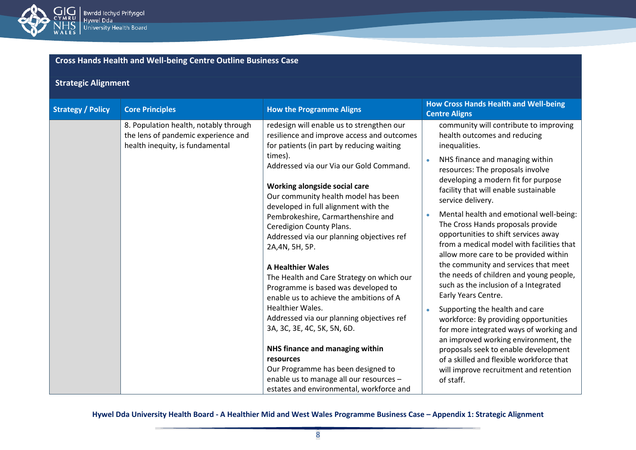

| <b>Cross Hands Health and Well-being Centre Outline Business Case</b> |  |
|-----------------------------------------------------------------------|--|
|-----------------------------------------------------------------------|--|

## **Strategic Alignment**

| <b>Strategy / Policy</b> | <b>Core Principles</b>                                                                                          | <b>How the Programme Aligns</b>                                                                                                                                                                                                                                                                                                                                                                                                                                                                                                                                                                                                                                                                                                                                                                                                                                                             | <b>How Cross Hands Health and Well-being</b><br><b>Centre Aligns</b>                                                                                                                                                                                                                                                                                                                                                                                                                                                                                                                                                                                                                                                                                                                                                                                                                                                                          |
|--------------------------|-----------------------------------------------------------------------------------------------------------------|---------------------------------------------------------------------------------------------------------------------------------------------------------------------------------------------------------------------------------------------------------------------------------------------------------------------------------------------------------------------------------------------------------------------------------------------------------------------------------------------------------------------------------------------------------------------------------------------------------------------------------------------------------------------------------------------------------------------------------------------------------------------------------------------------------------------------------------------------------------------------------------------|-----------------------------------------------------------------------------------------------------------------------------------------------------------------------------------------------------------------------------------------------------------------------------------------------------------------------------------------------------------------------------------------------------------------------------------------------------------------------------------------------------------------------------------------------------------------------------------------------------------------------------------------------------------------------------------------------------------------------------------------------------------------------------------------------------------------------------------------------------------------------------------------------------------------------------------------------|
|                          | 8. Population health, notably through<br>the lens of pandemic experience and<br>health inequity, is fundamental | redesign will enable us to strengthen our<br>resilience and improve access and outcomes<br>for patients (in part by reducing waiting<br>times).<br>Addressed via our Via our Gold Command.<br>Working alongside social care<br>Our community health model has been<br>developed in full alignment with the<br>Pembrokeshire, Carmarthenshire and<br>Ceredigion County Plans.<br>Addressed via our planning objectives ref<br>2A, 4N, 5H, 5P.<br><b>A Healthier Wales</b><br>The Health and Care Strategy on which our<br>Programme is based was developed to<br>enable us to achieve the ambitions of A<br><b>Healthier Wales.</b><br>Addressed via our planning objectives ref<br>3A, 3C, 3E, 4C, 5K, 5N, 6D.<br>NHS finance and managing within<br>resources<br>Our Programme has been designed to<br>enable us to manage all our resources -<br>estates and environmental, workforce and | community will contribute to improving<br>health outcomes and reducing<br>inequalities.<br>NHS finance and managing within<br>resources: The proposals involve<br>developing a modern fit for purpose<br>facility that will enable sustainable<br>service delivery.<br>Mental health and emotional well-being:<br>The Cross Hands proposals provide<br>opportunities to shift services away<br>from a medical model with facilities that<br>allow more care to be provided within<br>the community and services that meet<br>the needs of children and young people,<br>such as the inclusion of a Integrated<br>Early Years Centre.<br>Supporting the health and care<br>workforce: By providing opportunities<br>for more integrated ways of working and<br>an improved working environment, the<br>proposals seek to enable development<br>of a skilled and flexible workforce that<br>will improve recruitment and retention<br>of staff. |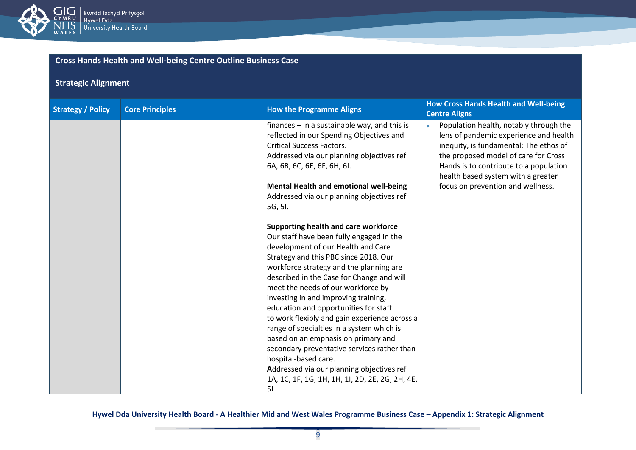

## **Strategic Alignment**

| <b>Strategy / Policy</b> | <b>Core Principles</b> | <b>How the Programme Aligns</b>                                                                                                                                                                                                                                                                                                                                                                                                                                                                                                                                                                                                                                                                                                                                                                                                                                                    | <b>How Cross Hands Health and Well-being</b><br><b>Centre Aligns</b>                                                                                                                                                                                                                                 |
|--------------------------|------------------------|------------------------------------------------------------------------------------------------------------------------------------------------------------------------------------------------------------------------------------------------------------------------------------------------------------------------------------------------------------------------------------------------------------------------------------------------------------------------------------------------------------------------------------------------------------------------------------------------------------------------------------------------------------------------------------------------------------------------------------------------------------------------------------------------------------------------------------------------------------------------------------|------------------------------------------------------------------------------------------------------------------------------------------------------------------------------------------------------------------------------------------------------------------------------------------------------|
|                          |                        | finances $-$ in a sustainable way, and this is<br>reflected in our Spending Objectives and<br><b>Critical Success Factors.</b><br>Addressed via our planning objectives ref<br>6A, 6B, 6C, 6E, 6F, 6H, 6I.<br>Mental Health and emotional well-being<br>Addressed via our planning objectives ref<br>5G, 5I.<br>Supporting health and care workforce<br>Our staff have been fully engaged in the<br>development of our Health and Care<br>Strategy and this PBC since 2018. Our<br>workforce strategy and the planning are<br>described in the Case for Change and will<br>meet the needs of our workforce by<br>investing in and improving training,<br>education and opportunities for staff<br>to work flexibly and gain experience across a<br>range of specialties in a system which is<br>based on an emphasis on primary and<br>secondary preventative services rather than | Population health, notably through the<br>$\bullet$<br>lens of pandemic experience and health<br>inequity, is fundamental: The ethos of<br>the proposed model of care for Cross<br>Hands is to contribute to a population<br>health based system with a greater<br>focus on prevention and wellness. |
|                          |                        | hospital-based care.<br>Addressed via our planning objectives ref<br>1A, 1C, 1F, 1G, 1H, 1H, 1I, 2D, 2E, 2G, 2H, 4E,<br>5L.                                                                                                                                                                                                                                                                                                                                                                                                                                                                                                                                                                                                                                                                                                                                                        |                                                                                                                                                                                                                                                                                                      |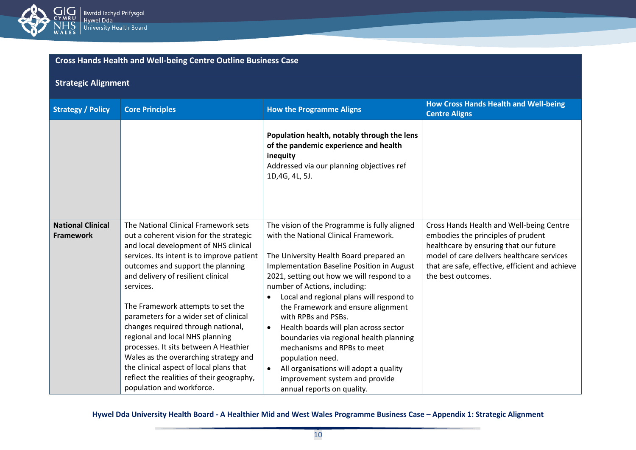

| <b>Cross Hands Health and Well-being Centre Outline Business Case</b> |  |
|-----------------------------------------------------------------------|--|

## **Strategic Alignment**

| <b>Strategy / Policy</b>                     | <b>Core Principles</b>                                                                                                                                                                                                                                                                                                                                                                                                                                                                                                                                                                                                        | <b>How the Programme Aligns</b>                                                                                                                                                                                                                                                                                                                                                                                                                                                                                                                                                                                                      | <b>How Cross Hands Health and Well-being</b><br><b>Centre Aligns</b>                                                                                                                                                                            |
|----------------------------------------------|-------------------------------------------------------------------------------------------------------------------------------------------------------------------------------------------------------------------------------------------------------------------------------------------------------------------------------------------------------------------------------------------------------------------------------------------------------------------------------------------------------------------------------------------------------------------------------------------------------------------------------|--------------------------------------------------------------------------------------------------------------------------------------------------------------------------------------------------------------------------------------------------------------------------------------------------------------------------------------------------------------------------------------------------------------------------------------------------------------------------------------------------------------------------------------------------------------------------------------------------------------------------------------|-------------------------------------------------------------------------------------------------------------------------------------------------------------------------------------------------------------------------------------------------|
|                                              |                                                                                                                                                                                                                                                                                                                                                                                                                                                                                                                                                                                                                               | Population health, notably through the lens<br>of the pandemic experience and health<br>inequity<br>Addressed via our planning objectives ref<br>1D,4G, 4L, 5J.                                                                                                                                                                                                                                                                                                                                                                                                                                                                      |                                                                                                                                                                                                                                                 |
| <b>National Clinical</b><br><b>Framework</b> | The National Clinical Framework sets<br>out a coherent vision for the strategic<br>and local development of NHS clinical<br>services. Its intent is to improve patient<br>outcomes and support the planning<br>and delivery of resilient clinical<br>services.<br>The Framework attempts to set the<br>parameters for a wider set of clinical<br>changes required through national,<br>regional and local NHS planning<br>processes. It sits between A Heathier<br>Wales as the overarching strategy and<br>the clinical aspect of local plans that<br>reflect the realities of their geography,<br>population and workforce. | The vision of the Programme is fully aligned<br>with the National Clinical Framework.<br>The University Health Board prepared an<br>Implementation Baseline Position in August<br>2021, setting out how we will respond to a<br>number of Actions, including:<br>Local and regional plans will respond to<br>the Framework and ensure alignment<br>with RPBs and PSBs.<br>Health boards will plan across sector<br>$\bullet$<br>boundaries via regional health planning<br>mechanisms and RPBs to meet<br>population need.<br>All organisations will adopt a quality<br>improvement system and provide<br>annual reports on quality. | Cross Hands Health and Well-being Centre<br>embodies the principles of prudent<br>healthcare by ensuring that our future<br>model of care delivers healthcare services<br>that are safe, effective, efficient and achieve<br>the best outcomes. |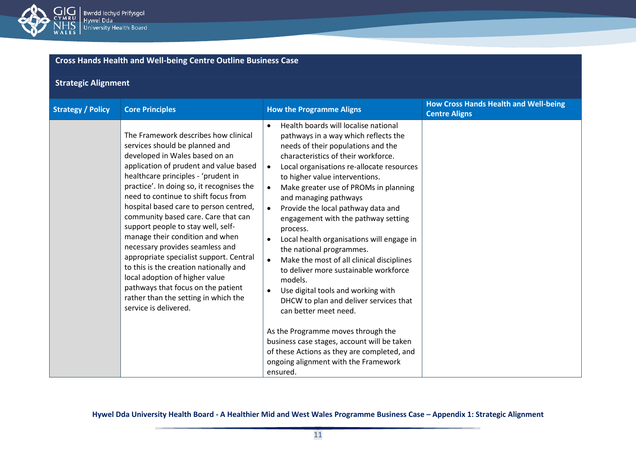

## **Strategic Alignment**

| <b>Strategy / Policy</b> | <b>Core Principles</b>                                                                                                                                                                                                                                                                                                                                                                                                                                                                                                                                                                                                                                                                                    | <b>How the Programme Aligns</b>                                                                                                                                                                                                                                                                                                                                                                                                                                                                                                                                                                                                                                                                                                                                                                                                                                                                                                    | <b>How Cross Hands Health and Well-being</b><br><b>Centre Aligns</b> |
|--------------------------|-----------------------------------------------------------------------------------------------------------------------------------------------------------------------------------------------------------------------------------------------------------------------------------------------------------------------------------------------------------------------------------------------------------------------------------------------------------------------------------------------------------------------------------------------------------------------------------------------------------------------------------------------------------------------------------------------------------|------------------------------------------------------------------------------------------------------------------------------------------------------------------------------------------------------------------------------------------------------------------------------------------------------------------------------------------------------------------------------------------------------------------------------------------------------------------------------------------------------------------------------------------------------------------------------------------------------------------------------------------------------------------------------------------------------------------------------------------------------------------------------------------------------------------------------------------------------------------------------------------------------------------------------------|----------------------------------------------------------------------|
|                          | The Framework describes how clinical<br>services should be planned and<br>developed in Wales based on an<br>application of prudent and value based<br>healthcare principles - 'prudent in<br>practice'. In doing so, it recognises the<br>need to continue to shift focus from<br>hospital based care to person centred,<br>community based care. Care that can<br>support people to stay well, self-<br>manage their condition and when<br>necessary provides seamless and<br>appropriate specialist support. Central<br>to this is the creation nationally and<br>local adoption of higher value<br>pathways that focus on the patient<br>rather than the setting in which the<br>service is delivered. | Health boards will localise national<br>$\bullet$<br>pathways in a way which reflects the<br>needs of their populations and the<br>characteristics of their workforce.<br>Local organisations re-allocate resources<br>$\bullet$<br>to higher value interventions.<br>Make greater use of PROMs in planning<br>and managing pathways<br>Provide the local pathway data and<br>$\bullet$<br>engagement with the pathway setting<br>process.<br>Local health organisations will engage in<br>the national programmes.<br>Make the most of all clinical disciplines<br>to deliver more sustainable workforce<br>models.<br>Use digital tools and working with<br>$\bullet$<br>DHCW to plan and deliver services that<br>can better meet need.<br>As the Programme moves through the<br>business case stages, account will be taken<br>of these Actions as they are completed, and<br>ongoing alignment with the Framework<br>ensured. |                                                                      |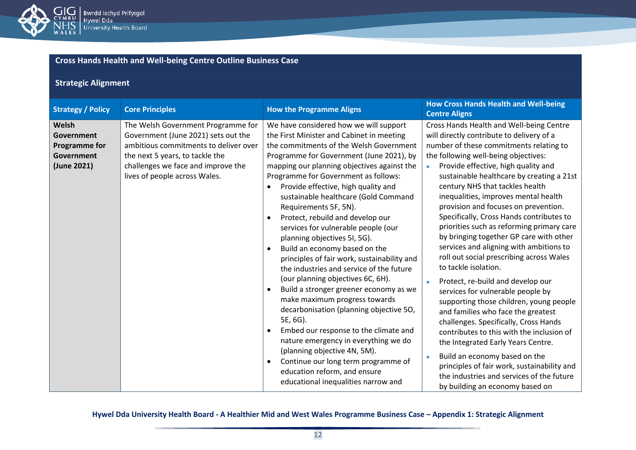

## **Strategic Alignment**

| <b>Strategy / Policy</b>                                                 | <b>Core Principles</b>                                                                                                                                                                                                       | <b>How the Programme Aligns</b>                                                                                                                                                                                                                                                                                                                                                                                                                                                                                                                                                                                                                                                                                                                                                                                                                                                                                                                                                                                                                  | <b>How Cross Hands Health and Well-being</b><br><b>Centre Aligns</b>                                                                                                                                                                                                                                                                                                                                                                                                                                                                                                                                                                                                                                                                                                                                                                                                                                                                                                                                                                                                                                   |
|--------------------------------------------------------------------------|------------------------------------------------------------------------------------------------------------------------------------------------------------------------------------------------------------------------------|--------------------------------------------------------------------------------------------------------------------------------------------------------------------------------------------------------------------------------------------------------------------------------------------------------------------------------------------------------------------------------------------------------------------------------------------------------------------------------------------------------------------------------------------------------------------------------------------------------------------------------------------------------------------------------------------------------------------------------------------------------------------------------------------------------------------------------------------------------------------------------------------------------------------------------------------------------------------------------------------------------------------------------------------------|--------------------------------------------------------------------------------------------------------------------------------------------------------------------------------------------------------------------------------------------------------------------------------------------------------------------------------------------------------------------------------------------------------------------------------------------------------------------------------------------------------------------------------------------------------------------------------------------------------------------------------------------------------------------------------------------------------------------------------------------------------------------------------------------------------------------------------------------------------------------------------------------------------------------------------------------------------------------------------------------------------------------------------------------------------------------------------------------------------|
| Welsh<br>Government<br><b>Programme for</b><br>Government<br>(June 2021) | The Welsh Government Programme for<br>Government (June 2021) sets out the<br>ambitious commitments to deliver over<br>the next 5 years, to tackle the<br>challenges we face and improve the<br>lives of people across Wales. | We have considered how we will support<br>the First Minister and Cabinet in meeting<br>the commitments of the Welsh Government<br>Programme for Government (June 2021), by<br>mapping our planning objectives against the<br>Programme for Government as follows:<br>Provide effective, high quality and<br>$\bullet$<br>sustainable healthcare (Gold Command<br>Requirements 5F, 5N).<br>Protect, rebuild and develop our<br>services for vulnerable people (our<br>planning objectives 5I, 5G).<br>Build an economy based on the<br>principles of fair work, sustainability and<br>the industries and service of the future<br>(our planning objectives 6C, 6H).<br>Build a stronger greener economy as we<br>$\bullet$<br>make maximum progress towards<br>decarbonisation (planning objective 50,<br>5E, 6G).<br>Embed our response to the climate and<br>nature emergency in everything we do<br>(planning objective 4N, 5M).<br>Continue our long term programme of<br>education reform, and ensure<br>educational inequalities narrow and | Cross Hands Health and Well-being Centre<br>will directly contribute to delivery of a<br>number of these commitments relating to<br>the following well-being objectives:<br>Provide effective, high quality and<br>sustainable healthcare by creating a 21st<br>century NHS that tackles health<br>inequalities, improves mental health<br>provision and focuses on prevention.<br>Specifically, Cross Hands contributes to<br>priorities such as reforming primary care<br>by bringing together GP care with other<br>services and aligning with ambitions to<br>roll out social prescribing across Wales<br>to tackle isolation.<br>Protect, re-build and develop our<br>services for vulnerable people by<br>supporting those children, young people<br>and families who face the greatest<br>challenges. Specifically, Cross Hands<br>contributes to this with the inclusion of<br>the Integrated Early Years Centre.<br>Build an economy based on the<br>$\bullet$<br>principles of fair work, sustainability and<br>the industries and services of the future<br>by building an economy based on |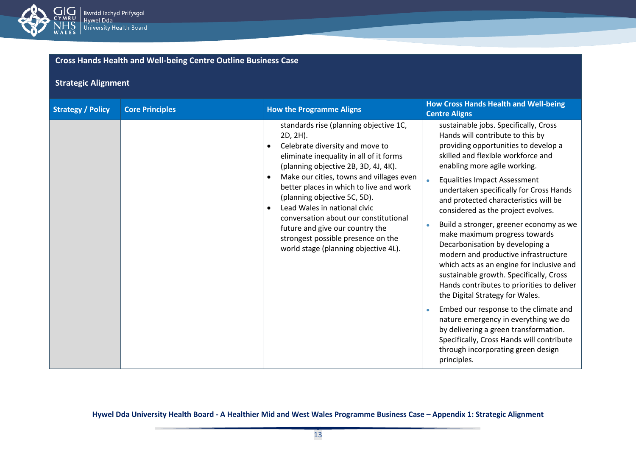

## **Strategic Alignment**

| <b>Strategy / Policy</b> | <b>Core Principles</b> | <b>How the Programme Aligns</b>                                                                                                                                                                                                                                                                                                                                                                                                                                                           | <b>How Cross Hands Health and Well-being</b><br><b>Centre Aligns</b>                                                                                                                                                                                                                                                                                                                                                                                                                                                                                                                                                                                                                                                                                                                                                                                                                                                              |
|--------------------------|------------------------|-------------------------------------------------------------------------------------------------------------------------------------------------------------------------------------------------------------------------------------------------------------------------------------------------------------------------------------------------------------------------------------------------------------------------------------------------------------------------------------------|-----------------------------------------------------------------------------------------------------------------------------------------------------------------------------------------------------------------------------------------------------------------------------------------------------------------------------------------------------------------------------------------------------------------------------------------------------------------------------------------------------------------------------------------------------------------------------------------------------------------------------------------------------------------------------------------------------------------------------------------------------------------------------------------------------------------------------------------------------------------------------------------------------------------------------------|
|                          |                        | standards rise (planning objective 1C,<br>2D, 2H).<br>Celebrate diversity and move to<br>eliminate inequality in all of it forms<br>(planning objective 2B, 3D, 4J, 4K).<br>Make our cities, towns and villages even<br>better places in which to live and work<br>(planning objective 5C, 5D).<br>Lead Wales in national civic<br>conversation about our constitutional<br>future and give our country the<br>strongest possible presence on the<br>world stage (planning objective 4L). | sustainable jobs. Specifically, Cross<br>Hands will contribute to this by<br>providing opportunities to develop a<br>skilled and flexible workforce and<br>enabling more agile working.<br><b>Equalities Impact Assessment</b><br>undertaken specifically for Cross Hands<br>and protected characteristics will be<br>considered as the project evolves.<br>Build a stronger, greener economy as we<br>$\bullet$<br>make maximum progress towards<br>Decarbonisation by developing a<br>modern and productive infrastructure<br>which acts as an engine for inclusive and<br>sustainable growth. Specifically, Cross<br>Hands contributes to priorities to deliver<br>the Digital Strategy for Wales.<br>Embed our response to the climate and<br>nature emergency in everything we do<br>by delivering a green transformation.<br>Specifically, Cross Hands will contribute<br>through incorporating green design<br>principles. |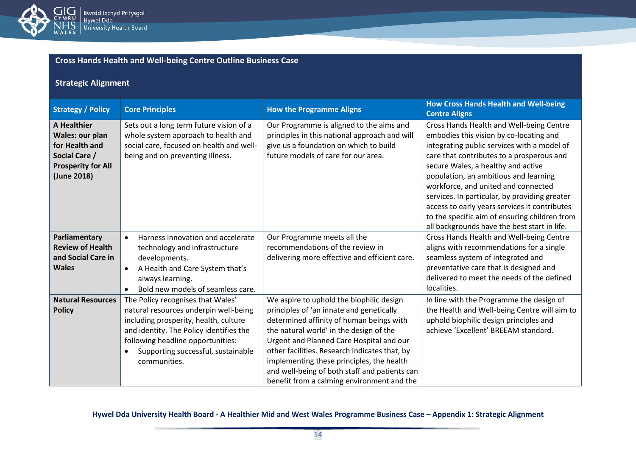

| <b>Cross Hands Health and Well-being Centre Outline Business Case</b> |  |
|-----------------------------------------------------------------------|--|

## **Strategic Alignment**

| <b>Strategy / Policy</b>                                                                                                    | <b>Core Principles</b>                                                                                                                                                                                                                                    | <b>How the Programme Aligns</b>                                                                                                                                                                                                                                                                                                                                                                                      | <b>How Cross Hands Health and Well-being</b><br><b>Centre Aligns</b>                                                                                                                                                                                                                                                                                                                                                                                                                                     |
|-----------------------------------------------------------------------------------------------------------------------------|-----------------------------------------------------------------------------------------------------------------------------------------------------------------------------------------------------------------------------------------------------------|----------------------------------------------------------------------------------------------------------------------------------------------------------------------------------------------------------------------------------------------------------------------------------------------------------------------------------------------------------------------------------------------------------------------|----------------------------------------------------------------------------------------------------------------------------------------------------------------------------------------------------------------------------------------------------------------------------------------------------------------------------------------------------------------------------------------------------------------------------------------------------------------------------------------------------------|
| <b>A Healthier</b><br><b>Wales: our plan</b><br>for Health and<br>Social Care /<br><b>Prosperity for All</b><br>(June 2018) | Sets out a long term future vision of a<br>whole system approach to health and<br>social care, focused on health and well-<br>being and on preventing illness.                                                                                            | Our Programme is aligned to the aims and<br>principles in this national approach and will<br>give us a foundation on which to build<br>future models of care for our area.                                                                                                                                                                                                                                           | Cross Hands Health and Well-being Centre<br>embodies this vision by co-locating and<br>integrating public services with a model of<br>care that contributes to a prosperous and<br>secure Wales, a healthy and active<br>population, an ambitious and learning<br>workforce, and united and connected<br>services. In particular, by providing greater<br>access to early years services it contributes<br>to the specific aim of ensuring children from<br>all backgrounds have the best start in life. |
| Parliamentary<br><b>Review of Health</b><br>and Social Care in<br><b>Wales</b>                                              | Harness innovation and accelerate<br>$\bullet$<br>technology and infrastructure<br>developments.<br>A Health and Care System that's<br>$\bullet$<br>always learning.<br>Bold new models of seamless care.                                                 | Our Programme meets all the<br>recommendations of the review in<br>delivering more effective and efficient care.                                                                                                                                                                                                                                                                                                     | Cross Hands Health and Well-being Centre<br>aligns with recommendations for a single<br>seamless system of integrated and<br>preventative care that is designed and<br>delivered to meet the needs of the defined<br>localities.                                                                                                                                                                                                                                                                         |
| <b>Natural Resources</b><br><b>Policy</b>                                                                                   | The Policy recognises that Wales'<br>natural resources underpin well-being<br>including prosperity, health, culture<br>and identity. The Policy identifies the<br>following headline opportunities:<br>Supporting successful, sustainable<br>communities. | We aspire to uphold the biophilic design<br>principles of 'an innate and genetically<br>determined affinity of human beings with<br>the natural world' in the design of the<br>Urgent and Planned Care Hospital and our<br>other facilities. Research indicates that, by<br>implementing these principles, the health<br>and well-being of both staff and patients can<br>benefit from a calming environment and the | In line with the Programme the design of<br>the Health and Well-being Centre will aim to<br>uphold biophilic design principles and<br>achieve 'Excellent' BREEAM standard.                                                                                                                                                                                                                                                                                                                               |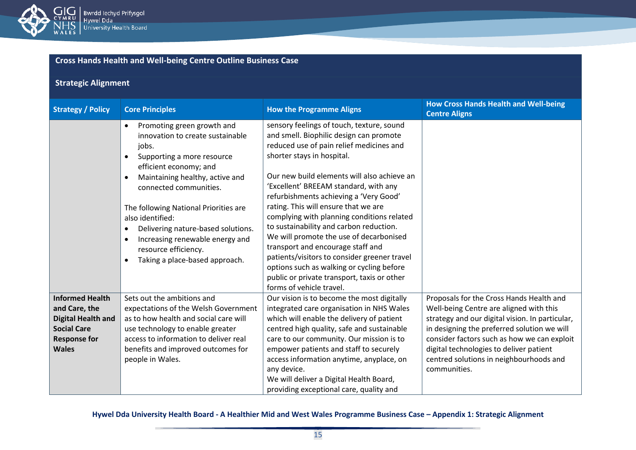

## **Strategic Alignment**

| <b>Strategy / Policy</b>                                                                                                          | <b>Core Principles</b>                                                                                                                                                                                                                                                                                                                                                                                                      | <b>How the Programme Aligns</b>                                                                                                                                                                                                                                                                                                                                                                                                                                                                                                                                                                                                                                                           | <b>How Cross Hands Health and Well-being</b><br><b>Centre Aligns</b>                                                                                                                                                                                                                                                                       |
|-----------------------------------------------------------------------------------------------------------------------------------|-----------------------------------------------------------------------------------------------------------------------------------------------------------------------------------------------------------------------------------------------------------------------------------------------------------------------------------------------------------------------------------------------------------------------------|-------------------------------------------------------------------------------------------------------------------------------------------------------------------------------------------------------------------------------------------------------------------------------------------------------------------------------------------------------------------------------------------------------------------------------------------------------------------------------------------------------------------------------------------------------------------------------------------------------------------------------------------------------------------------------------------|--------------------------------------------------------------------------------------------------------------------------------------------------------------------------------------------------------------------------------------------------------------------------------------------------------------------------------------------|
|                                                                                                                                   | Promoting green growth and<br>innovation to create sustainable<br>jobs.<br>Supporting a more resource<br>efficient economy; and<br>Maintaining healthy, active and<br>connected communities.<br>The following National Priorities are<br>also identified:<br>Delivering nature-based solutions.<br>٠<br>Increasing renewable energy and<br>$\bullet$<br>resource efficiency.<br>Taking a place-based approach.<br>$\bullet$ | sensory feelings of touch, texture, sound<br>and smell. Biophilic design can promote<br>reduced use of pain relief medicines and<br>shorter stays in hospital.<br>Our new build elements will also achieve an<br>'Excellent' BREEAM standard, with any<br>refurbishments achieving a 'Very Good'<br>rating. This will ensure that we are<br>complying with planning conditions related<br>to sustainability and carbon reduction.<br>We will promote the use of decarbonised<br>transport and encourage staff and<br>patients/visitors to consider greener travel<br>options such as walking or cycling before<br>public or private transport, taxis or other<br>forms of vehicle travel. |                                                                                                                                                                                                                                                                                                                                            |
| <b>Informed Health</b><br>and Care, the<br><b>Digital Health and</b><br><b>Social Care</b><br><b>Response for</b><br><b>Wales</b> | Sets out the ambitions and<br>expectations of the Welsh Government<br>as to how health and social care will<br>use technology to enable greater<br>access to information to deliver real<br>benefits and improved outcomes for<br>people in Wales.                                                                                                                                                                          | Our vision is to become the most digitally<br>integrated care organisation in NHS Wales<br>which will enable the delivery of patient<br>centred high quality, safe and sustainable<br>care to our community. Our mission is to<br>empower patients and staff to securely<br>access information anytime, anyplace, on<br>any device.<br>We will deliver a Digital Health Board,<br>providing exceptional care, quality and                                                                                                                                                                                                                                                                 | Proposals for the Cross Hands Health and<br>Well-being Centre are aligned with this<br>strategy and our digital vision. In particular,<br>in designing the preferred solution we will<br>consider factors such as how we can exploit<br>digital technologies to deliver patient<br>centred solutions in neighbourhoods and<br>communities. |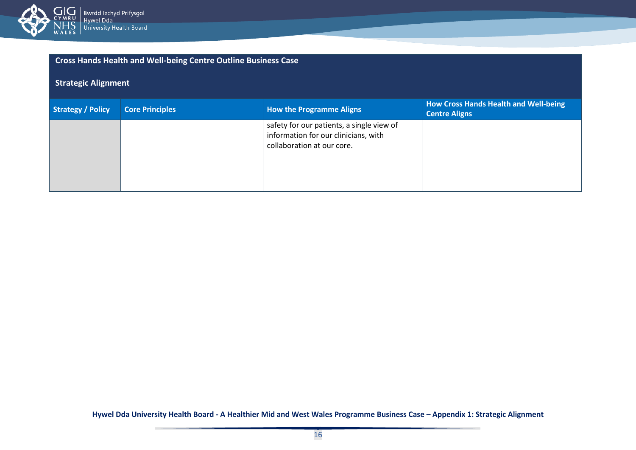

| <b>Cross Hands Health and Well-being Centre Outline Business Case</b> |                        |                                                                                                                 |                                                               |  |
|-----------------------------------------------------------------------|------------------------|-----------------------------------------------------------------------------------------------------------------|---------------------------------------------------------------|--|
| <b>Strategic Alignment</b>                                            |                        |                                                                                                                 |                                                               |  |
| <b>Strategy / Policy</b>                                              | <b>Core Principles</b> | <b>How the Programme Aligns</b>                                                                                 | How Cross Hands Health and Well-being<br><b>Centre Aligns</b> |  |
|                                                                       |                        | safety for our patients, a single view of<br>information for our clinicians, with<br>collaboration at our core. |                                                               |  |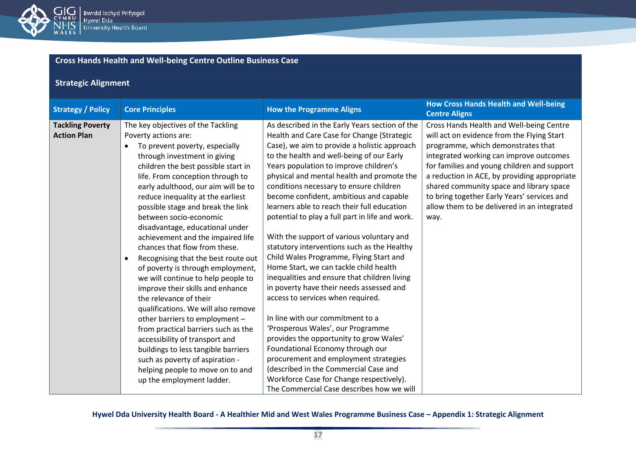

## **Strategic Alignment**

| <b>Strategy / Policy</b> | <b>Core Principles</b>             |                                     | <b>How the Programme Aligns</b>                 | <b>How Cross Hands Health and Well-being</b><br><b>Centre Aligns</b> |
|--------------------------|------------------------------------|-------------------------------------|-------------------------------------------------|----------------------------------------------------------------------|
| <b>Tackling Poverty</b>  | The key objectives of the Tackling |                                     | As described in the Early Years section of the  | Cross Hands Health and Well-being Centre                             |
| <b>Action Plan</b>       | Poverty actions are:               |                                     | Health and Care Case for Change (Strategic      | will act on evidence from the Flying Start                           |
|                          | $\bullet$                          | To prevent poverty, especially      | Case), we aim to provide a holistic approach    | programme, which demonstrates that                                   |
|                          |                                    | through investment in giving        | to the health and well-being of our Early       | integrated working can improve outcomes                              |
|                          |                                    | children the best possible start in | Years population to improve children's          | for families and young children and support                          |
|                          |                                    | life. From conception through to    | physical and mental health and promote the      | a reduction in ACE, by providing appropriate                         |
|                          |                                    | early adulthood, our aim will be to | conditions necessary to ensure children         | shared community space and library space                             |
|                          |                                    | reduce inequality at the earliest   | become confident, ambitious and capable         | to bring together Early Years' services and                          |
|                          |                                    | possible stage and break the link   | learners able to reach their full education     | allow them to be delivered in an integrated                          |
|                          | between socio-economic             |                                     | potential to play a full part in life and work. | way.                                                                 |
|                          |                                    | disadvantage, educational under     |                                                 |                                                                      |
|                          |                                    | achievement and the impaired life   | With the support of various voluntary and       |                                                                      |
|                          |                                    | chances that flow from these.       | statutory interventions such as the Healthy     |                                                                      |
|                          | $\bullet$                          | Recognising that the best route out | Child Wales Programme, Flying Start and         |                                                                      |
|                          |                                    | of poverty is through employment,   | Home Start, we can tackle child health          |                                                                      |
|                          |                                    | we will continue to help people to  | inequalities and ensure that children living    |                                                                      |
|                          |                                    | improve their skills and enhance    | in poverty have their needs assessed and        |                                                                      |
|                          | the relevance of their             |                                     | access to services when required.               |                                                                      |
|                          |                                    | qualifications. We will also remove |                                                 |                                                                      |
|                          |                                    | other barriers to employment -      | In line with our commitment to a                |                                                                      |
|                          |                                    | from practical barriers such as the | 'Prosperous Wales', our Programme               |                                                                      |
|                          |                                    | accessibility of transport and      | provides the opportunity to grow Wales'         |                                                                      |
|                          |                                    | buildings to less tangible barriers | Foundational Economy through our                |                                                                      |
|                          |                                    | such as poverty of aspiration -     | procurement and employment strategies           |                                                                      |
|                          |                                    | helping people to move on to and    | (described in the Commercial Case and           |                                                                      |
|                          | up the employment ladder.          |                                     | Workforce Case for Change respectively).        |                                                                      |
|                          |                                    |                                     | The Commercial Case describes how we will       |                                                                      |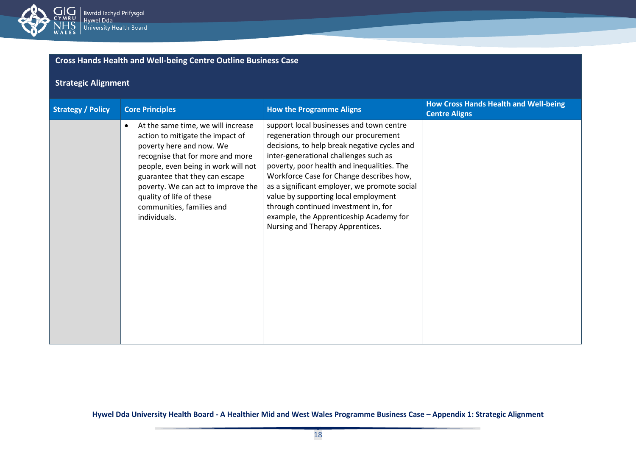

## **Strategic Alignment**

| <b>Strategy / Policy</b> | <b>Core Principles</b>                                                                                                                                                                                                                                                                                                                      | <b>How the Programme Aligns</b>                                                                                                                                                                                                                                                                                                                                                                                                                                                    | <b>How Cross Hands Health and Well-being</b><br><b>Centre Aligns</b> |
|--------------------------|---------------------------------------------------------------------------------------------------------------------------------------------------------------------------------------------------------------------------------------------------------------------------------------------------------------------------------------------|------------------------------------------------------------------------------------------------------------------------------------------------------------------------------------------------------------------------------------------------------------------------------------------------------------------------------------------------------------------------------------------------------------------------------------------------------------------------------------|----------------------------------------------------------------------|
|                          | At the same time, we will increase<br>$\bullet$<br>action to mitigate the impact of<br>poverty here and now. We<br>recognise that for more and more<br>people, even being in work will not<br>guarantee that they can escape<br>poverty. We can act to improve the<br>quality of life of these<br>communities, families and<br>individuals. | support local businesses and town centre<br>regeneration through our procurement<br>decisions, to help break negative cycles and<br>inter-generational challenges such as<br>poverty, poor health and inequalities. The<br>Workforce Case for Change describes how,<br>as a significant employer, we promote social<br>value by supporting local employment<br>through continued investment in, for<br>example, the Apprenticeship Academy for<br>Nursing and Therapy Apprentices. |                                                                      |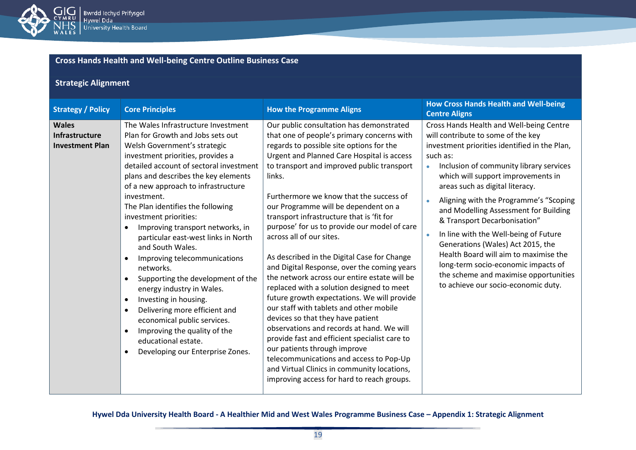

## **Strategic Alignment**

| <b>Strategy / Policy</b>                                        | <b>Core Principles</b>                                                                                                                                                                                                                                                                                                                                                                                                                                                                                                                                                                                                                                                                                                                                                                                                   | <b>How the Programme Aligns</b>                                                                                                                                                                                                                                                                                                                                                                                                                                                                                                                                                                                                                                                                                                                                                                                                                                                                                                                                                                                                                             | <b>How Cross Hands Health and Well-being</b><br><b>Centre Aligns</b>                                                                                                                                                                                                                                                                                                                                                                                                                                                                                                                                                                          |
|-----------------------------------------------------------------|--------------------------------------------------------------------------------------------------------------------------------------------------------------------------------------------------------------------------------------------------------------------------------------------------------------------------------------------------------------------------------------------------------------------------------------------------------------------------------------------------------------------------------------------------------------------------------------------------------------------------------------------------------------------------------------------------------------------------------------------------------------------------------------------------------------------------|-------------------------------------------------------------------------------------------------------------------------------------------------------------------------------------------------------------------------------------------------------------------------------------------------------------------------------------------------------------------------------------------------------------------------------------------------------------------------------------------------------------------------------------------------------------------------------------------------------------------------------------------------------------------------------------------------------------------------------------------------------------------------------------------------------------------------------------------------------------------------------------------------------------------------------------------------------------------------------------------------------------------------------------------------------------|-----------------------------------------------------------------------------------------------------------------------------------------------------------------------------------------------------------------------------------------------------------------------------------------------------------------------------------------------------------------------------------------------------------------------------------------------------------------------------------------------------------------------------------------------------------------------------------------------------------------------------------------------|
| <b>Wales</b><br><b>Infrastructure</b><br><b>Investment Plan</b> | The Wales Infrastructure Investment<br>Plan for Growth and Jobs sets out<br>Welsh Government's strategic<br>investment priorities, provides a<br>detailed account of sectoral investment<br>plans and describes the key elements<br>of a new approach to infrastructure<br>investment.<br>The Plan identifies the following<br>investment priorities:<br>Improving transport networks, in<br>particular east-west links in North<br>and South Wales.<br>Improving telecommunications<br>$\bullet$<br>networks.<br>Supporting the development of the<br>$\bullet$<br>energy industry in Wales.<br>Investing in housing.<br>$\bullet$<br>Delivering more efficient and<br>$\bullet$<br>economical public services.<br>Improving the quality of the<br>$\bullet$<br>educational estate.<br>Developing our Enterprise Zones. | Our public consultation has demonstrated<br>that one of people's primary concerns with<br>regards to possible site options for the<br><b>Urgent and Planned Care Hospital is access</b><br>to transport and improved public transport<br>links.<br>Furthermore we know that the success of<br>our Programme will be dependent on a<br>transport infrastructure that is 'fit for<br>purpose' for us to provide our model of care<br>across all of our sites.<br>As described in the Digital Case for Change<br>and Digital Response, over the coming years<br>the network across our entire estate will be<br>replaced with a solution designed to meet<br>future growth expectations. We will provide<br>our staff with tablets and other mobile<br>devices so that they have patient<br>observations and records at hand. We will<br>provide fast and efficient specialist care to<br>our patients through improve<br>telecommunications and access to Pop-Up<br>and Virtual Clinics in community locations,<br>improving access for hard to reach groups. | Cross Hands Health and Well-being Centre<br>will contribute to some of the key<br>investment priorities identified in the Plan,<br>such as:<br>Inclusion of community library services<br>which will support improvements in<br>areas such as digital literacy.<br>Aligning with the Programme's "Scoping<br>and Modelling Assessment for Building<br>& Transport Decarbonisation"<br>In line with the Well-being of Future<br>$\bullet$<br>Generations (Wales) Act 2015, the<br>Health Board will aim to maximise the<br>long-term socio-economic impacts of<br>the scheme and maximise opportunities<br>to achieve our socio-economic duty. |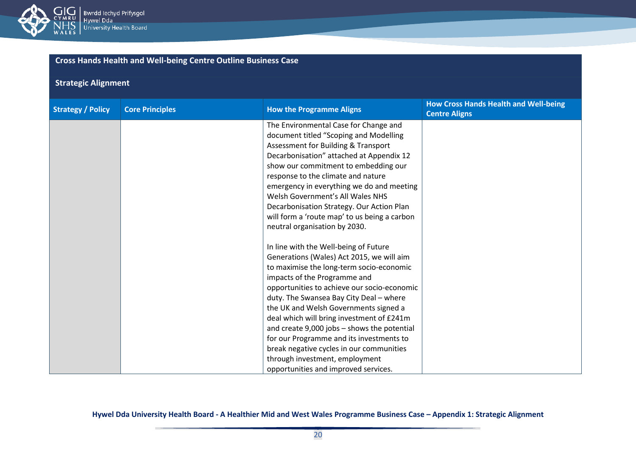

## **Strategic Alignment**

| <b>Strategy / Policy</b> | <b>Core Principles</b> | <b>How the Programme Aligns</b>              | <b>How Cross Hands Health and Well-being</b><br><b>Centre Aligns</b> |
|--------------------------|------------------------|----------------------------------------------|----------------------------------------------------------------------|
|                          |                        | The Environmental Case for Change and        |                                                                      |
|                          |                        | document titled "Scoping and Modelling       |                                                                      |
|                          |                        | Assessment for Building & Transport          |                                                                      |
|                          |                        | Decarbonisation" attached at Appendix 12     |                                                                      |
|                          |                        | show our commitment to embedding our         |                                                                      |
|                          |                        | response to the climate and nature           |                                                                      |
|                          |                        | emergency in everything we do and meeting    |                                                                      |
|                          |                        | Welsh Government's All Wales NHS             |                                                                      |
|                          |                        | Decarbonisation Strategy. Our Action Plan    |                                                                      |
|                          |                        | will form a 'route map' to us being a carbon |                                                                      |
|                          |                        | neutral organisation by 2030.                |                                                                      |
|                          |                        |                                              |                                                                      |
|                          |                        | In line with the Well-being of Future        |                                                                      |
|                          |                        | Generations (Wales) Act 2015, we will aim    |                                                                      |
|                          |                        | to maximise the long-term socio-economic     |                                                                      |
|                          |                        | impacts of the Programme and                 |                                                                      |
|                          |                        | opportunities to achieve our socio-economic  |                                                                      |
|                          |                        | duty. The Swansea Bay City Deal - where      |                                                                      |
|                          |                        | the UK and Welsh Governments signed a        |                                                                      |
|                          |                        | deal which will bring investment of £241m    |                                                                      |
|                          |                        | and create 9,000 jobs - shows the potential  |                                                                      |
|                          |                        | for our Programme and its investments to     |                                                                      |
|                          |                        | break negative cycles in our communities     |                                                                      |
|                          |                        | through investment, employment               |                                                                      |
|                          |                        | opportunities and improved services.         |                                                                      |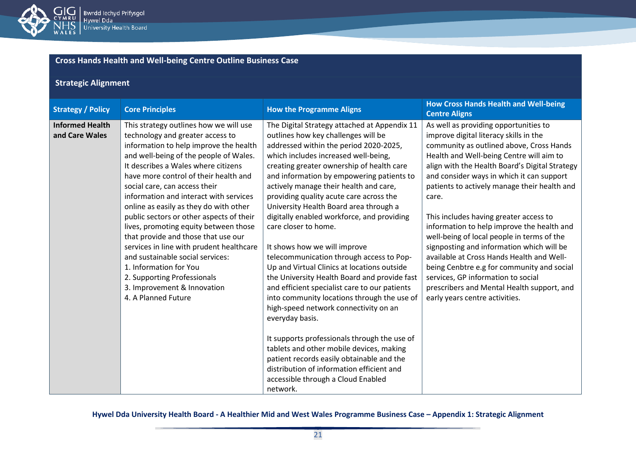

## **Strategic Alignment**

| <b>Strategy / Policy</b>                 | <b>Core Principles</b>                                                                                                                                                                                                                                                                                                                                                                                                                                                                                                                                                                                                                                                                         | <b>How the Programme Aligns</b>                                                                                                                                                                                                                                                                                                                                                                                                                                                                                                                                                                                                                                                                                                                                                                                                                                                                                                                                                                                                                     | <b>How Cross Hands Health and Well-being</b><br><b>Centre Aligns</b>                                                                                                                                                                                                                                                                                                                                                                                                                                                                                                                                                                                                                                                                |
|------------------------------------------|------------------------------------------------------------------------------------------------------------------------------------------------------------------------------------------------------------------------------------------------------------------------------------------------------------------------------------------------------------------------------------------------------------------------------------------------------------------------------------------------------------------------------------------------------------------------------------------------------------------------------------------------------------------------------------------------|-----------------------------------------------------------------------------------------------------------------------------------------------------------------------------------------------------------------------------------------------------------------------------------------------------------------------------------------------------------------------------------------------------------------------------------------------------------------------------------------------------------------------------------------------------------------------------------------------------------------------------------------------------------------------------------------------------------------------------------------------------------------------------------------------------------------------------------------------------------------------------------------------------------------------------------------------------------------------------------------------------------------------------------------------------|-------------------------------------------------------------------------------------------------------------------------------------------------------------------------------------------------------------------------------------------------------------------------------------------------------------------------------------------------------------------------------------------------------------------------------------------------------------------------------------------------------------------------------------------------------------------------------------------------------------------------------------------------------------------------------------------------------------------------------------|
| <b>Informed Health</b><br>and Care Wales | This strategy outlines how we will use<br>technology and greater access to<br>information to help improve the health<br>and well-being of the people of Wales.<br>It describes a Wales where citizens<br>have more control of their health and<br>social care, can access their<br>information and interact with services<br>online as easily as they do with other<br>public sectors or other aspects of their<br>lives, promoting equity between those<br>that provide and those that use our<br>services in line with prudent healthcare<br>and sustainable social services:<br>1. Information for You<br>2. Supporting Professionals<br>3. Improvement & Innovation<br>4. A Planned Future | The Digital Strategy attached at Appendix 11<br>outlines how key challenges will be<br>addressed within the period 2020-2025,<br>which includes increased well-being,<br>creating greater ownership of health care<br>and information by empowering patients to<br>actively manage their health and care,<br>providing quality acute care across the<br>University Health Board area through a<br>digitally enabled workforce, and providing<br>care closer to home.<br>It shows how we will improve<br>telecommunication through access to Pop-<br>Up and Virtual Clinics at locations outside<br>the University Health Board and provide fast<br>and efficient specialist care to our patients<br>into community locations through the use of<br>high-speed network connectivity on an<br>everyday basis.<br>It supports professionals through the use of<br>tablets and other mobile devices, making<br>patient records easily obtainable and the<br>distribution of information efficient and<br>accessible through a Cloud Enabled<br>network. | As well as providing opportunities to<br>improve digital literacy skills in the<br>community as outlined above, Cross Hands<br>Health and Well-being Centre will aim to<br>align with the Health Board's Digital Strategy<br>and consider ways in which it can support<br>patients to actively manage their health and<br>care.<br>This includes having greater access to<br>information to help improve the health and<br>well-being of local people in terms of the<br>signposting and information which will be<br>available at Cross Hands Health and Well-<br>being Cenbtre e.g for community and social<br>services, GP information to social<br>prescribers and Mental Health support, and<br>early years centre activities. |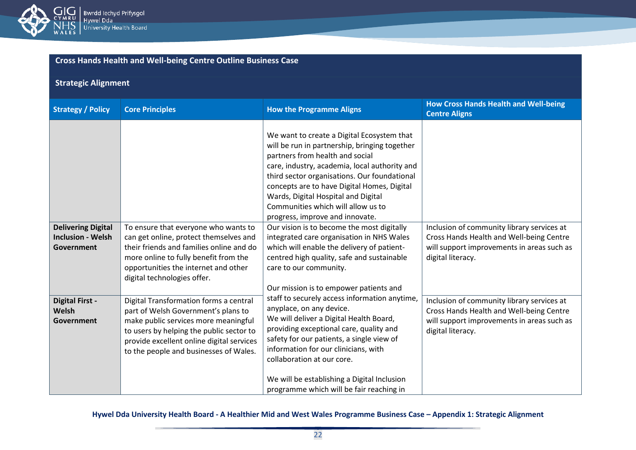

## **Strategic Alignment**

| <b>Strategy / Policy</b>                                            | <b>Core Principles</b>                                                                                                                                                                                                                                   | <b>How the Programme Aligns</b>                                                                                                                                                                                                                                                                                                                                                                | <b>How Cross Hands Health and Well-being</b><br><b>Centre Aligns</b>                                                                                      |
|---------------------------------------------------------------------|----------------------------------------------------------------------------------------------------------------------------------------------------------------------------------------------------------------------------------------------------------|------------------------------------------------------------------------------------------------------------------------------------------------------------------------------------------------------------------------------------------------------------------------------------------------------------------------------------------------------------------------------------------------|-----------------------------------------------------------------------------------------------------------------------------------------------------------|
|                                                                     |                                                                                                                                                                                                                                                          | We want to create a Digital Ecosystem that<br>will be run in partnership, bringing together<br>partners from health and social<br>care, industry, academia, local authority and<br>third sector organisations. Our foundational<br>concepts are to have Digital Homes, Digital<br>Wards, Digital Hospital and Digital<br>Communities which will allow us to<br>progress, improve and innovate. |                                                                                                                                                           |
| <b>Delivering Digital</b><br><b>Inclusion - Welsh</b><br>Government | To ensure that everyone who wants to<br>can get online, protect themselves and<br>their friends and families online and do<br>more online to fully benefit from the<br>opportunities the internet and other<br>digital technologies offer.               | Our vision is to become the most digitally<br>integrated care organisation in NHS Wales<br>which will enable the delivery of patient-<br>centred high quality, safe and sustainable<br>care to our community.<br>Our mission is to empower patients and                                                                                                                                        | Inclusion of community library services at<br>Cross Hands Health and Well-being Centre<br>will support improvements in areas such as<br>digital literacy. |
| <b>Digital First -</b><br>Welsh<br>Government                       | Digital Transformation forms a central<br>part of Welsh Government's plans to<br>make public services more meaningful<br>to users by helping the public sector to<br>provide excellent online digital services<br>to the people and businesses of Wales. | staff to securely access information anytime,<br>anyplace, on any device.<br>We will deliver a Digital Health Board,<br>providing exceptional care, quality and<br>safety for our patients, a single view of<br>information for our clinicians, with<br>collaboration at our core.<br>We will be establishing a Digital Inclusion<br>programme which will be fair reaching in                  | Inclusion of community library services at<br>Cross Hands Health and Well-being Centre<br>will support improvements in areas such as<br>digital literacy. |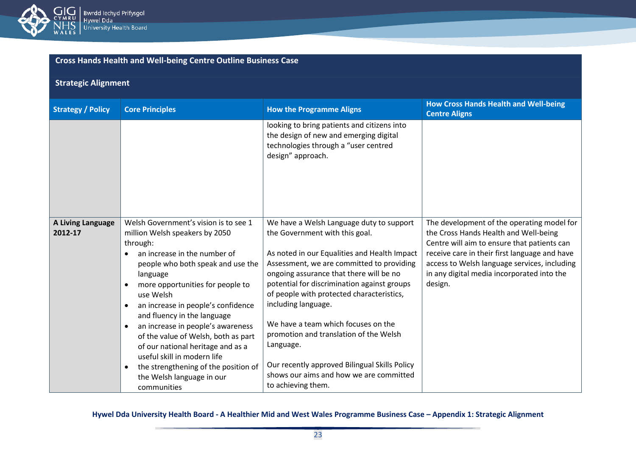

## **Strategic Alignment**

| <b>Strategy / Policy</b>     | <b>Core Principles</b>                                                                                                                                                                                                                                                                                                                                                                                                                                                                                                                      | <b>How the Programme Aligns</b>                                                                                                                                                                                                                                                                                                                                                                                                                                                                                                                       | <b>How Cross Hands Health and Well-being</b><br><b>Centre Aligns</b>                                                                                                                                                                                                                         |
|------------------------------|---------------------------------------------------------------------------------------------------------------------------------------------------------------------------------------------------------------------------------------------------------------------------------------------------------------------------------------------------------------------------------------------------------------------------------------------------------------------------------------------------------------------------------------------|-------------------------------------------------------------------------------------------------------------------------------------------------------------------------------------------------------------------------------------------------------------------------------------------------------------------------------------------------------------------------------------------------------------------------------------------------------------------------------------------------------------------------------------------------------|----------------------------------------------------------------------------------------------------------------------------------------------------------------------------------------------------------------------------------------------------------------------------------------------|
|                              |                                                                                                                                                                                                                                                                                                                                                                                                                                                                                                                                             | looking to bring patients and citizens into<br>the design of new and emerging digital<br>technologies through a "user centred<br>design" approach.                                                                                                                                                                                                                                                                                                                                                                                                    |                                                                                                                                                                                                                                                                                              |
| A Living Language<br>2012-17 | Welsh Government's vision is to see 1<br>million Welsh speakers by 2050<br>through:<br>an increase in the number of<br>people who both speak and use the<br>language<br>more opportunities for people to<br>use Welsh<br>an increase in people's confidence<br>$\bullet$<br>and fluency in the language<br>an increase in people's awareness<br>of the value of Welsh, both as part<br>of our national heritage and as a<br>useful skill in modern life<br>the strengthening of the position of<br>the Welsh language in our<br>communities | We have a Welsh Language duty to support<br>the Government with this goal.<br>As noted in our Equalities and Health Impact<br>Assessment, we are committed to providing<br>ongoing assurance that there will be no<br>potential for discrimination against groups<br>of people with protected characteristics,<br>including language.<br>We have a team which focuses on the<br>promotion and translation of the Welsh<br>Language.<br>Our recently approved Bilingual Skills Policy<br>shows our aims and how we are committed<br>to achieving them. | The development of the operating model for<br>the Cross Hands Health and Well-being<br>Centre will aim to ensure that patients can<br>receive care in their first language and have<br>access to Welsh language services, including<br>in any digital media incorporated into the<br>design. |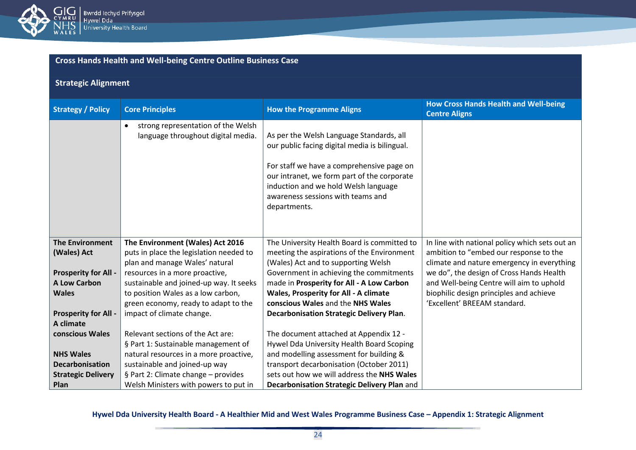

## **Strategic Alignment**

| <b>Strategy / Policy</b>    | <b>Core Principles</b>                                                                | <b>How the Programme Aligns</b>                                                                                                                                                                                                                                                    | <b>How Cross Hands Health and Well-being</b><br><b>Centre Aligns</b>                   |
|-----------------------------|---------------------------------------------------------------------------------------|------------------------------------------------------------------------------------------------------------------------------------------------------------------------------------------------------------------------------------------------------------------------------------|----------------------------------------------------------------------------------------|
|                             | strong representation of the Welsh<br>$\bullet$<br>language throughout digital media. | As per the Welsh Language Standards, all<br>our public facing digital media is bilingual.<br>For staff we have a comprehensive page on<br>our intranet, we form part of the corporate<br>induction and we hold Welsh language<br>awareness sessions with teams and<br>departments. |                                                                                        |
| <b>The Environment</b>      | The Environment (Wales) Act 2016                                                      | The University Health Board is committed to                                                                                                                                                                                                                                        | In line with national policy which sets out an                                         |
| (Wales) Act                 | puts in place the legislation needed to                                               | meeting the aspirations of the Environment                                                                                                                                                                                                                                         | ambition to "embed our response to the                                                 |
| <b>Prosperity for All -</b> | plan and manage Wales' natural<br>resources in a more proactive,                      | (Wales) Act and to supporting Welsh<br>Government in achieving the commitments                                                                                                                                                                                                     | climate and nature emergency in everything<br>we do", the design of Cross Hands Health |
| <b>A Low Carbon</b>         | sustainable and joined-up way. It seeks                                               | made in Prosperity for All - A Low Carbon                                                                                                                                                                                                                                          | and Well-being Centre will aim to uphold                                               |
| <b>Wales</b>                | to position Wales as a low carbon,                                                    | Wales, Prosperity for All - A climate                                                                                                                                                                                                                                              | biophilic design principles and achieve                                                |
|                             | green economy, ready to adapt to the                                                  | conscious Wales and the NHS Wales                                                                                                                                                                                                                                                  | 'Excellent' BREEAM standard.                                                           |
| <b>Prosperity for All -</b> | impact of climate change.                                                             | <b>Decarbonisation Strategic Delivery Plan.</b>                                                                                                                                                                                                                                    |                                                                                        |
| A climate                   |                                                                                       |                                                                                                                                                                                                                                                                                    |                                                                                        |
| conscious Wales             | Relevant sections of the Act are:                                                     | The document attached at Appendix 12 -                                                                                                                                                                                                                                             |                                                                                        |
|                             | § Part 1: Sustainable management of                                                   | Hywel Dda University Health Board Scoping                                                                                                                                                                                                                                          |                                                                                        |
| <b>NHS Wales</b>            | natural resources in a more proactive,                                                | and modelling assessment for building &                                                                                                                                                                                                                                            |                                                                                        |
| <b>Decarbonisation</b>      | sustainable and joined-up way                                                         | transport decarbonisation (October 2011)                                                                                                                                                                                                                                           |                                                                                        |
| <b>Strategic Delivery</b>   | § Part 2: Climate change - provides                                                   | sets out how we will address the NHS Wales                                                                                                                                                                                                                                         |                                                                                        |
| Plan                        | Welsh Ministers with powers to put in                                                 | Decarbonisation Strategic Delivery Plan and                                                                                                                                                                                                                                        |                                                                                        |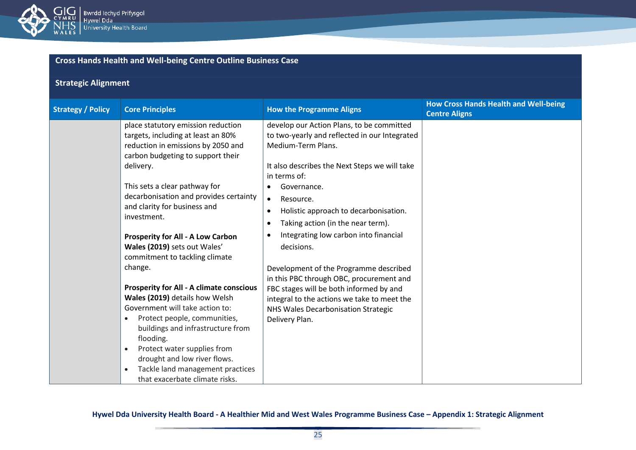

| <b>Cross Hands Health and Well-being Centre Outline Business Case</b> |                                                                                                                                                                                                                                                                                                                                                                                                                                                                                                                                                                                                                                                                                              |                                                                                                                                                                                                                                                                                                                                                                                                                                                                                                                                                                                                                                                      |                                                                      |  |
|-----------------------------------------------------------------------|----------------------------------------------------------------------------------------------------------------------------------------------------------------------------------------------------------------------------------------------------------------------------------------------------------------------------------------------------------------------------------------------------------------------------------------------------------------------------------------------------------------------------------------------------------------------------------------------------------------------------------------------------------------------------------------------|------------------------------------------------------------------------------------------------------------------------------------------------------------------------------------------------------------------------------------------------------------------------------------------------------------------------------------------------------------------------------------------------------------------------------------------------------------------------------------------------------------------------------------------------------------------------------------------------------------------------------------------------------|----------------------------------------------------------------------|--|
| <b>Strategic Alignment</b>                                            |                                                                                                                                                                                                                                                                                                                                                                                                                                                                                                                                                                                                                                                                                              |                                                                                                                                                                                                                                                                                                                                                                                                                                                                                                                                                                                                                                                      |                                                                      |  |
| <b>Strategy / Policy</b>                                              | <b>Core Principles</b>                                                                                                                                                                                                                                                                                                                                                                                                                                                                                                                                                                                                                                                                       | <b>How the Programme Aligns</b>                                                                                                                                                                                                                                                                                                                                                                                                                                                                                                                                                                                                                      | <b>How Cross Hands Health and Well-being</b><br><b>Centre Aligns</b> |  |
|                                                                       | place statutory emission reduction<br>targets, including at least an 80%<br>reduction in emissions by 2050 and<br>carbon budgeting to support their<br>delivery.<br>This sets a clear pathway for<br>decarbonisation and provides certainty<br>and clarity for business and<br>investment.<br><b>Prosperity for All - A Low Carbon</b><br>Wales (2019) sets out Wales'<br>commitment to tackling climate<br>change.<br><b>Prosperity for All - A climate conscious</b><br>Wales (2019) details how Welsh<br>Government will take action to:<br>Protect people, communities,<br>buildings and infrastructure from<br>flooding.<br>Protect water supplies from<br>drought and low river flows. | develop our Action Plans, to be committed<br>to two-yearly and reflected in our Integrated<br>Medium-Term Plans.<br>It also describes the Next Steps we will take<br>in terms of:<br>Governance.<br>$\bullet$<br>$\bullet$<br>Resource.<br>Holistic approach to decarbonisation.<br>$\bullet$<br>Taking action (in the near term).<br>٠<br>Integrating low carbon into financial<br>$\bullet$<br>decisions.<br>Development of the Programme described<br>in this PBC through OBC, procurement and<br>FBC stages will be both informed by and<br>integral to the actions we take to meet the<br>NHS Wales Decarbonisation Strategic<br>Delivery Plan. |                                                                      |  |
|                                                                       | Tackle land management practices<br>$\bullet$<br>that exacerbate climate risks.                                                                                                                                                                                                                                                                                                                                                                                                                                                                                                                                                                                                              |                                                                                                                                                                                                                                                                                                                                                                                                                                                                                                                                                                                                                                                      |                                                                      |  |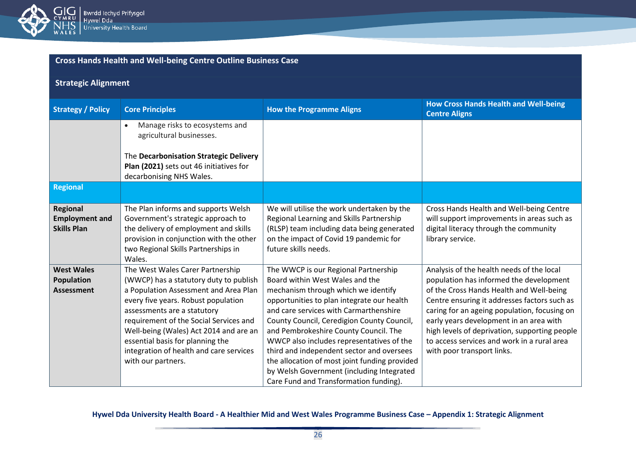

| <b>Cross Hands Health and Well-being Centre Outline Business Case</b> |  |
|-----------------------------------------------------------------------|--|
|                                                                       |  |

## **Strategic Alignment**

| <b>Strategy / Policy</b>                                | <b>Core Principles</b>                                                                                                                                                                                                                                                                                                                                                             | <b>How the Programme Aligns</b>                                                                                                                                                                                                                                                                                                                                                                                                                                                                                                 | <b>How Cross Hands Health and Well-being</b><br><b>Centre Aligns</b>                                                                                                                                                                                                                                                                                                                                      |
|---------------------------------------------------------|------------------------------------------------------------------------------------------------------------------------------------------------------------------------------------------------------------------------------------------------------------------------------------------------------------------------------------------------------------------------------------|---------------------------------------------------------------------------------------------------------------------------------------------------------------------------------------------------------------------------------------------------------------------------------------------------------------------------------------------------------------------------------------------------------------------------------------------------------------------------------------------------------------------------------|-----------------------------------------------------------------------------------------------------------------------------------------------------------------------------------------------------------------------------------------------------------------------------------------------------------------------------------------------------------------------------------------------------------|
|                                                         | Manage risks to ecosystems and<br>agricultural businesses.                                                                                                                                                                                                                                                                                                                         |                                                                                                                                                                                                                                                                                                                                                                                                                                                                                                                                 |                                                                                                                                                                                                                                                                                                                                                                                                           |
|                                                         | The Decarbonisation Strategic Delivery<br>Plan (2021) sets out 46 initiatives for<br>decarbonising NHS Wales.                                                                                                                                                                                                                                                                      |                                                                                                                                                                                                                                                                                                                                                                                                                                                                                                                                 |                                                                                                                                                                                                                                                                                                                                                                                                           |
| <b>Regional</b>                                         |                                                                                                                                                                                                                                                                                                                                                                                    |                                                                                                                                                                                                                                                                                                                                                                                                                                                                                                                                 |                                                                                                                                                                                                                                                                                                                                                                                                           |
| Regional<br><b>Employment and</b><br><b>Skills Plan</b> | The Plan informs and supports Welsh<br>Government's strategic approach to<br>the delivery of employment and skills<br>provision in conjunction with the other<br>two Regional Skills Partnerships in<br>Wales.                                                                                                                                                                     | We will utilise the work undertaken by the<br>Regional Learning and Skills Partnership<br>(RLSP) team including data being generated<br>on the impact of Covid 19 pandemic for<br>future skills needs.                                                                                                                                                                                                                                                                                                                          | Cross Hands Health and Well-being Centre<br>will support improvements in areas such as<br>digital literacy through the community<br>library service.                                                                                                                                                                                                                                                      |
| <b>West Wales</b><br>Population<br><b>Assessment</b>    | The West Wales Carer Partnership<br>(WWCP) has a statutory duty to publish<br>a Population Assessment and Area Plan<br>every five years. Robust population<br>assessments are a statutory<br>requirement of the Social Services and<br>Well-being (Wales) Act 2014 and are an<br>essential basis for planning the<br>integration of health and care services<br>with our partners. | The WWCP is our Regional Partnership<br>Board within West Wales and the<br>mechanism through which we identify<br>opportunities to plan integrate our health<br>and care services with Carmarthenshire<br>County Council, Ceredigion County Council,<br>and Pembrokeshire County Council. The<br>WWCP also includes representatives of the<br>third and independent sector and oversees<br>the allocation of most joint funding provided<br>by Welsh Government (including Integrated<br>Care Fund and Transformation funding). | Analysis of the health needs of the local<br>population has informed the development<br>of the Cross Hands Health and Well-being<br>Centre ensuring it addresses factors such as<br>caring for an ageing population, focusing on<br>early years development in an area with<br>high levels of deprivation, supporting people<br>to access services and work in a rural area<br>with poor transport links. |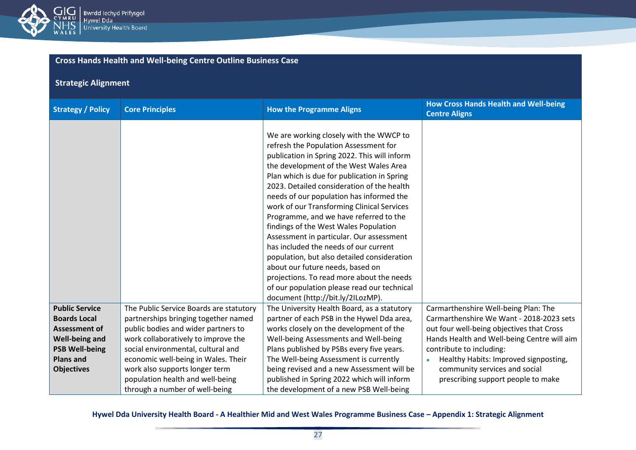

## **Strategic Alignment**

| <b>Strategy / Policy</b>                                                                | <b>Core Principles</b>                                                                                                                             | <b>How the Programme Aligns</b>                                                                                                                                                                                                                                                                                                                                                                                                                                                                                                                                                                                                                                                                                          | <b>How Cross Hands Health and Well-being</b><br><b>Centre Aligns</b>                                                                                           |
|-----------------------------------------------------------------------------------------|----------------------------------------------------------------------------------------------------------------------------------------------------|--------------------------------------------------------------------------------------------------------------------------------------------------------------------------------------------------------------------------------------------------------------------------------------------------------------------------------------------------------------------------------------------------------------------------------------------------------------------------------------------------------------------------------------------------------------------------------------------------------------------------------------------------------------------------------------------------------------------------|----------------------------------------------------------------------------------------------------------------------------------------------------------------|
|                                                                                         |                                                                                                                                                    | We are working closely with the WWCP to<br>refresh the Population Assessment for<br>publication in Spring 2022. This will inform<br>the development of the West Wales Area<br>Plan which is due for publication in Spring<br>2023. Detailed consideration of the health<br>needs of our population has informed the<br>work of our Transforming Clinical Services<br>Programme, and we have referred to the<br>findings of the West Wales Population<br>Assessment in particular. Our assessment<br>has included the needs of our current<br>population, but also detailed consideration<br>about our future needs, based on<br>projections. To read more about the needs<br>of our population please read our technical |                                                                                                                                                                |
| <b>Public Service</b><br><b>Boards Local</b><br><b>Assessment of</b>                    | The Public Service Boards are statutory<br>partnerships bringing together named<br>public bodies and wider partners to                             | document (http://bit.ly/2ILozMP).<br>The University Health Board, as a statutory<br>partner of each PSB in the Hywel Dda area,<br>works closely on the development of the                                                                                                                                                                                                                                                                                                                                                                                                                                                                                                                                                | Carmarthenshire Well-being Plan: The<br>Carmarthenshire We Want - 2018-2023 sets<br>out four well-being objectives that Cross                                  |
| <b>Well-being and</b><br><b>PSB Well-being</b><br><b>Plans and</b><br><b>Objectives</b> | work collaboratively to improve the<br>social environmental, cultural and<br>economic well-being in Wales. Their<br>work also supports longer term | Well-being Assessments and Well-being<br>Plans published by PSBs every five years.<br>The Well-being Assessment is currently<br>being revised and a new Assessment will be                                                                                                                                                                                                                                                                                                                                                                                                                                                                                                                                               | Hands Health and Well-being Centre will aim<br>contribute to including:<br>Healthy Habits: Improved signposting,<br>$\bullet$<br>community services and social |
|                                                                                         | population health and well-being<br>through a number of well-being                                                                                 | published in Spring 2022 which will inform<br>the development of a new PSB Well-being                                                                                                                                                                                                                                                                                                                                                                                                                                                                                                                                                                                                                                    | prescribing support people to make                                                                                                                             |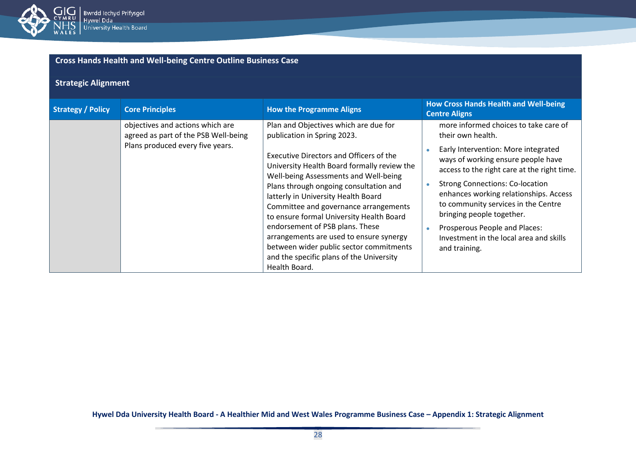

| <b>Cross Hands Health and Well-being Centre Outline Business Case</b> |  |
|-----------------------------------------------------------------------|--|
|-----------------------------------------------------------------------|--|

## **Strategic Alignment**

| <b>Strategy / Policy</b> | <b>Core Principles</b>                                                   | <b>How the Programme Aligns</b>                                                                                                                                                                                                                                                                                                                                                                                                                                                                    | <b>How Cross Hands Health and Well-being</b><br><b>Centre Aligns</b>                                                                                                                                                                                                                                                                                                          |
|--------------------------|--------------------------------------------------------------------------|----------------------------------------------------------------------------------------------------------------------------------------------------------------------------------------------------------------------------------------------------------------------------------------------------------------------------------------------------------------------------------------------------------------------------------------------------------------------------------------------------|-------------------------------------------------------------------------------------------------------------------------------------------------------------------------------------------------------------------------------------------------------------------------------------------------------------------------------------------------------------------------------|
|                          | objectives and actions which are<br>agreed as part of the PSB Well-being | Plan and Objectives which are due for<br>publication in Spring 2023.                                                                                                                                                                                                                                                                                                                                                                                                                               | more informed choices to take care of<br>their own health.                                                                                                                                                                                                                                                                                                                    |
|                          | Plans produced every five years.                                         | <b>Executive Directors and Officers of the</b><br>University Health Board formally review the<br>Well-being Assessments and Well-being<br>Plans through ongoing consultation and<br>latterly in University Health Board<br>Committee and governance arrangements<br>to ensure formal University Health Board<br>endorsement of PSB plans. These<br>arrangements are used to ensure synergy<br>between wider public sector commitments<br>and the specific plans of the University<br>Health Board. | Early Intervention: More integrated<br>ways of working ensure people have<br>access to the right care at the right time.<br><b>Strong Connections: Co-location</b><br>enhances working relationships. Access<br>to community services in the Centre<br>bringing people together.<br>Prosperous People and Places:<br>Investment in the local area and skills<br>and training. |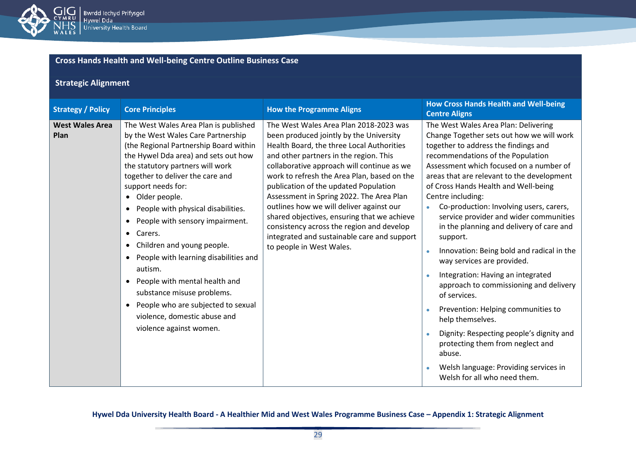

## **Strategic Alignment**

| <b>Strategy / Policy</b>       | <b>Core Principles</b>                                                                                                                                                                                                                                                                                                                                                                                                                                                                                                                                                                                                                                        | <b>How the Programme Aligns</b>                                                                                                                                                                                                                                                                                                                                                                                                                                                                                                                                               | <b>How Cross Hands Health and Well-being</b><br><b>Centre Aligns</b>                                                                                                                                                                                                                                                                                                                                                                                                                                                                                                                                                                                                                                                                                                                                                                                                                  |
|--------------------------------|---------------------------------------------------------------------------------------------------------------------------------------------------------------------------------------------------------------------------------------------------------------------------------------------------------------------------------------------------------------------------------------------------------------------------------------------------------------------------------------------------------------------------------------------------------------------------------------------------------------------------------------------------------------|-------------------------------------------------------------------------------------------------------------------------------------------------------------------------------------------------------------------------------------------------------------------------------------------------------------------------------------------------------------------------------------------------------------------------------------------------------------------------------------------------------------------------------------------------------------------------------|---------------------------------------------------------------------------------------------------------------------------------------------------------------------------------------------------------------------------------------------------------------------------------------------------------------------------------------------------------------------------------------------------------------------------------------------------------------------------------------------------------------------------------------------------------------------------------------------------------------------------------------------------------------------------------------------------------------------------------------------------------------------------------------------------------------------------------------------------------------------------------------|
| <b>West Wales Area</b><br>Plan | The West Wales Area Plan is published<br>by the West Wales Care Partnership<br>(the Regional Partnership Board within<br>the Hywel Dda area) and sets out how<br>the statutory partners will work<br>together to deliver the care and<br>support needs for:<br>• Older people.<br>People with physical disabilities.<br>People with sensory impairment.<br>$\bullet$<br>Carers.<br>$\bullet$<br>• Children and young people.<br>People with learning disabilities and<br>autism.<br>People with mental health and<br>$\bullet$<br>substance misuse problems.<br>People who are subjected to sexual<br>violence, domestic abuse and<br>violence against women. | The West Wales Area Plan 2018-2023 was<br>been produced jointly by the University<br>Health Board, the three Local Authorities<br>and other partners in the region. This<br>collaborative approach will continue as we<br>work to refresh the Area Plan, based on the<br>publication of the updated Population<br>Assessment in Spring 2022. The Area Plan<br>outlines how we will deliver against our<br>shared objectives, ensuring that we achieve<br>consistency across the region and develop<br>integrated and sustainable care and support<br>to people in West Wales. | The West Wales Area Plan: Delivering<br>Change Together sets out how we will work<br>together to address the findings and<br>recommendations of the Population<br>Assessment which focused on a number of<br>areas that are relevant to the development<br>of Cross Hands Health and Well-being<br>Centre including:<br>Co-production: Involving users, carers,<br>$\bullet$<br>service provider and wider communities<br>in the planning and delivery of care and<br>support.<br>Innovation: Being bold and radical in the<br>way services are provided.<br>Integration: Having an integrated<br>approach to commissioning and delivery<br>of services.<br>Prevention: Helping communities to<br>help themselves.<br>Dignity: Respecting people's dignity and<br>protecting them from neglect and<br>abuse.<br>Welsh language: Providing services in<br>Welsh for all who need them. |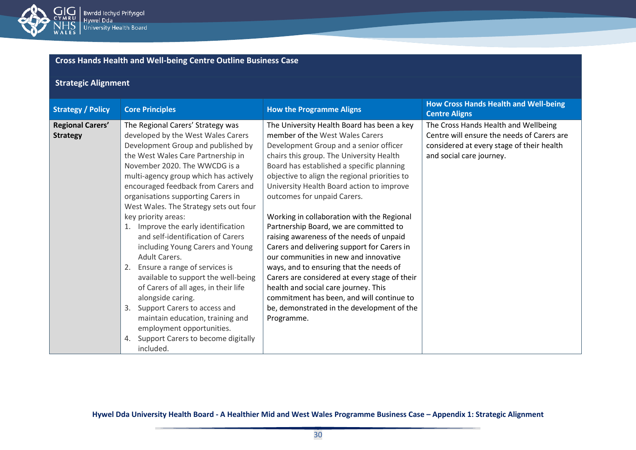

## **Strategic Alignment**

| <b>Strategy / Policy</b>                   | <b>Core Principles</b>                                                                                                                                                                                                                                                                                                                                                                                                                                                                                                                                                                                                                                                                                                                                                                                                         | <b>How the Programme Aligns</b>                                                                                                                                                                                                                                                                                                                                                                                                                                                                                                                                                                                                                                                                                                                                                                                        | <b>How Cross Hands Health and Well-being</b><br><b>Centre Aligns</b>                                                                                        |
|--------------------------------------------|--------------------------------------------------------------------------------------------------------------------------------------------------------------------------------------------------------------------------------------------------------------------------------------------------------------------------------------------------------------------------------------------------------------------------------------------------------------------------------------------------------------------------------------------------------------------------------------------------------------------------------------------------------------------------------------------------------------------------------------------------------------------------------------------------------------------------------|------------------------------------------------------------------------------------------------------------------------------------------------------------------------------------------------------------------------------------------------------------------------------------------------------------------------------------------------------------------------------------------------------------------------------------------------------------------------------------------------------------------------------------------------------------------------------------------------------------------------------------------------------------------------------------------------------------------------------------------------------------------------------------------------------------------------|-------------------------------------------------------------------------------------------------------------------------------------------------------------|
| <b>Regional Carers'</b><br><b>Strategy</b> | The Regional Carers' Strategy was<br>developed by the West Wales Carers<br>Development Group and published by<br>the West Wales Care Partnership in<br>November 2020. The WWCDG is a<br>multi-agency group which has actively<br>encouraged feedback from Carers and<br>organisations supporting Carers in<br>West Wales. The Strategy sets out four<br>key priority areas:<br>1. Improve the early identification<br>and self-identification of Carers<br>including Young Carers and Young<br><b>Adult Carers.</b><br>Ensure a range of services is<br>2.<br>available to support the well-being<br>of Carers of all ages, in their life<br>alongside caring.<br>Support Carers to access and<br>3.<br>maintain education, training and<br>employment opportunities.<br>Support Carers to become digitally<br>4.<br>included. | The University Health Board has been a key<br>member of the West Wales Carers<br>Development Group and a senior officer<br>chairs this group. The University Health<br>Board has established a specific planning<br>objective to align the regional priorities to<br>University Health Board action to improve<br>outcomes for unpaid Carers.<br>Working in collaboration with the Regional<br>Partnership Board, we are committed to<br>raising awareness of the needs of unpaid<br>Carers and delivering support for Carers in<br>our communities in new and innovative<br>ways, and to ensuring that the needs of<br>Carers are considered at every stage of their<br>health and social care journey. This<br>commitment has been, and will continue to<br>be, demonstrated in the development of the<br>Programme. | The Cross Hands Health and Wellbeing<br>Centre will ensure the needs of Carers are<br>considered at every stage of their health<br>and social care journey. |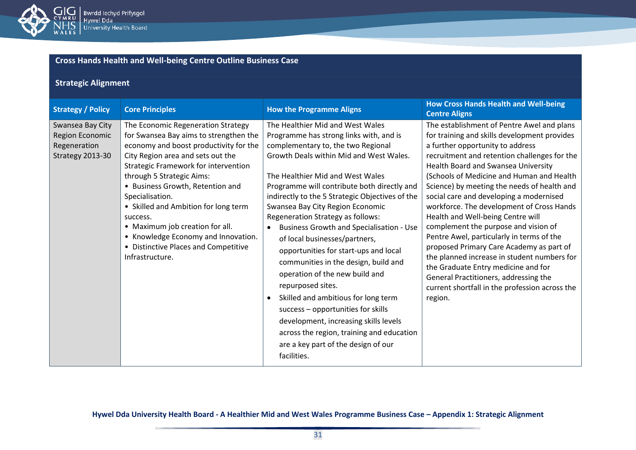

## **Strategic Alignment**

| <b>Strategy / Policy</b>                                                | <b>Core Principles</b>                                                                                                                                                                                                                                                                                                                                                                                                                                                                  | <b>How the Programme Aligns</b>                                                                                                                                                                                                                                                                                                                                                                                                                                                                                                                                                                                                                                                                                                                                                                                                  | <b>How Cross Hands Health and Well-being</b><br><b>Centre Aligns</b>                                                                                                                                                                                                                                                                                                                                                                                                                                                                                                                                                                                                                                                                                                        |
|-------------------------------------------------------------------------|-----------------------------------------------------------------------------------------------------------------------------------------------------------------------------------------------------------------------------------------------------------------------------------------------------------------------------------------------------------------------------------------------------------------------------------------------------------------------------------------|----------------------------------------------------------------------------------------------------------------------------------------------------------------------------------------------------------------------------------------------------------------------------------------------------------------------------------------------------------------------------------------------------------------------------------------------------------------------------------------------------------------------------------------------------------------------------------------------------------------------------------------------------------------------------------------------------------------------------------------------------------------------------------------------------------------------------------|-----------------------------------------------------------------------------------------------------------------------------------------------------------------------------------------------------------------------------------------------------------------------------------------------------------------------------------------------------------------------------------------------------------------------------------------------------------------------------------------------------------------------------------------------------------------------------------------------------------------------------------------------------------------------------------------------------------------------------------------------------------------------------|
| Swansea Bay City<br>Region Economic<br>Regeneration<br>Strategy 2013-30 | The Economic Regeneration Strategy<br>for Swansea Bay aims to strengthen the<br>economy and boost productivity for the<br>City Region area and sets out the<br><b>Strategic Framework for intervention</b><br>through 5 Strategic Aims:<br>• Business Growth, Retention and<br>Specialisation.<br>• Skilled and Ambition for long term<br>success.<br>• Maximum job creation for all.<br>• Knowledge Economy and Innovation.<br>• Distinctive Places and Competitive<br>Infrastructure. | The Healthier Mid and West Wales<br>Programme has strong links with, and is<br>complementary to, the two Regional<br>Growth Deals within Mid and West Wales.<br>The Healthier Mid and West Wales<br>Programme will contribute both directly and<br>indirectly to the 5 Strategic Objectives of the<br>Swansea Bay City Region Economic<br>Regeneration Strategy as follows:<br><b>Business Growth and Specialisation - Use</b><br>of local businesses/partners,<br>opportunities for start-ups and local<br>communities in the design, build and<br>operation of the new build and<br>repurposed sites.<br>Skilled and ambitious for long term<br>success - opportunities for skills<br>development, increasing skills levels<br>across the region, training and education<br>are a key part of the design of our<br>facilities. | The establishment of Pentre Awel and plans<br>for training and skills development provides<br>a further opportunity to address<br>recruitment and retention challenges for the<br>Health Board and Swansea University<br>(Schools of Medicine and Human and Health<br>Science) by meeting the needs of health and<br>social care and developing a modernised<br>workforce. The development of Cross Hands<br>Health and Well-being Centre will<br>complement the purpose and vision of<br>Pentre Awel, particularly in terms of the<br>proposed Primary Care Academy as part of<br>the planned increase in student numbers for<br>the Graduate Entry medicine and for<br>General Practitioners, addressing the<br>current shortfall in the profession across the<br>region. |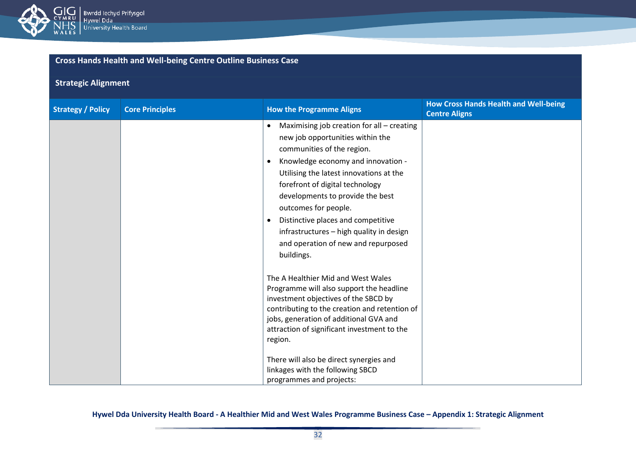

## **Strategic Alignment**

| <b>Strategy / Policy</b> | <b>Core Principles</b> | <b>How the Programme Aligns</b>                                                                                                                                                                                                                                                                                                                                                                                                                                                                                                                                                                                                                                                                                                                           | <b>How Cross Hands Health and Well-being</b><br><b>Centre Aligns</b> |
|--------------------------|------------------------|-----------------------------------------------------------------------------------------------------------------------------------------------------------------------------------------------------------------------------------------------------------------------------------------------------------------------------------------------------------------------------------------------------------------------------------------------------------------------------------------------------------------------------------------------------------------------------------------------------------------------------------------------------------------------------------------------------------------------------------------------------------|----------------------------------------------------------------------|
|                          |                        | Maximising job creation for all - creating<br>$\bullet$<br>new job opportunities within the<br>communities of the region.<br>Knowledge economy and innovation -<br>$\bullet$<br>Utilising the latest innovations at the<br>forefront of digital technology<br>developments to provide the best<br>outcomes for people.<br>Distinctive places and competitive<br>$\bullet$<br>infrastructures - high quality in design<br>and operation of new and repurposed<br>buildings.<br>The A Healthier Mid and West Wales<br>Programme will also support the headline<br>investment objectives of the SBCD by<br>contributing to the creation and retention of<br>jobs, generation of additional GVA and<br>attraction of significant investment to the<br>region. |                                                                      |
|                          |                        | There will also be direct synergies and<br>linkages with the following SBCD<br>programmes and projects:                                                                                                                                                                                                                                                                                                                                                                                                                                                                                                                                                                                                                                                   |                                                                      |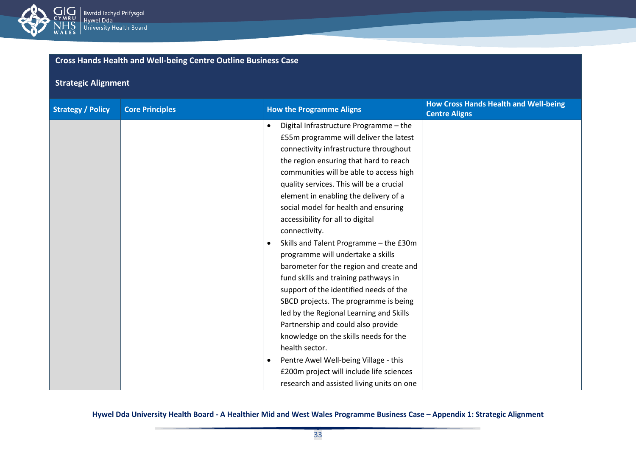

## **Strategic Alignment**

| <b>Strategy / Policy</b> | <b>Core Principles</b> | <b>How the Programme Aligns</b>                     | <b>How Cross Hands Health and Well-being</b><br><b>Centre Aligns</b> |
|--------------------------|------------------------|-----------------------------------------------------|----------------------------------------------------------------------|
|                          |                        | Digital Infrastructure Programme - the<br>$\bullet$ |                                                                      |
|                          |                        | £55m programme will deliver the latest              |                                                                      |
|                          |                        | connectivity infrastructure throughout              |                                                                      |
|                          |                        | the region ensuring that hard to reach              |                                                                      |
|                          |                        | communities will be able to access high             |                                                                      |
|                          |                        | quality services. This will be a crucial            |                                                                      |
|                          |                        | element in enabling the delivery of a               |                                                                      |
|                          |                        | social model for health and ensuring                |                                                                      |
|                          |                        | accessibility for all to digital                    |                                                                      |
|                          |                        | connectivity.                                       |                                                                      |
|                          |                        | Skills and Talent Programme - the £30m<br>$\bullet$ |                                                                      |
|                          |                        | programme will undertake a skills                   |                                                                      |
|                          |                        | barometer for the region and create and             |                                                                      |
|                          |                        | fund skills and training pathways in                |                                                                      |
|                          |                        | support of the identified needs of the              |                                                                      |
|                          |                        | SBCD projects. The programme is being               |                                                                      |
|                          |                        | led by the Regional Learning and Skills             |                                                                      |
|                          |                        | Partnership and could also provide                  |                                                                      |
|                          |                        | knowledge on the skills needs for the               |                                                                      |
|                          |                        | health sector.                                      |                                                                      |
|                          |                        | Pentre Awel Well-being Village - this<br>$\bullet$  |                                                                      |
|                          |                        | £200m project will include life sciences            |                                                                      |
|                          |                        | research and assisted living units on one           |                                                                      |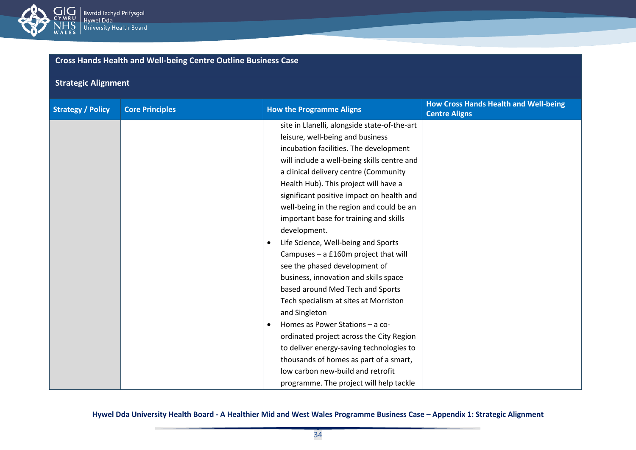

## **Strategic Alignment**

| <b>Strategy / Policy</b> | <b>Core Principles</b> | <b>How the Programme Aligns</b>              | <b>How Cross Hands Health and Well-being</b><br><b>Centre Aligns</b> |
|--------------------------|------------------------|----------------------------------------------|----------------------------------------------------------------------|
|                          |                        | site in Llanelli, alongside state-of-the-art |                                                                      |
|                          |                        | leisure, well-being and business             |                                                                      |
|                          |                        | incubation facilities. The development       |                                                                      |
|                          |                        | will include a well-being skills centre and  |                                                                      |
|                          |                        | a clinical delivery centre (Community        |                                                                      |
|                          |                        | Health Hub). This project will have a        |                                                                      |
|                          |                        | significant positive impact on health and    |                                                                      |
|                          |                        | well-being in the region and could be an     |                                                                      |
|                          |                        | important base for training and skills       |                                                                      |
|                          |                        | development.                                 |                                                                      |
|                          |                        | Life Science, Well-being and Sports          |                                                                      |
|                          |                        | Campuses - a £160m project that will         |                                                                      |
|                          |                        | see the phased development of                |                                                                      |
|                          |                        | business, innovation and skills space        |                                                                      |
|                          |                        | based around Med Tech and Sports             |                                                                      |
|                          |                        | Tech specialism at sites at Morriston        |                                                                      |
|                          |                        | and Singleton                                |                                                                      |
|                          |                        | Homes as Power Stations - a co-<br>$\bullet$ |                                                                      |
|                          |                        | ordinated project across the City Region     |                                                                      |
|                          |                        | to deliver energy-saving technologies to     |                                                                      |
|                          |                        | thousands of homes as part of a smart,       |                                                                      |
|                          |                        | low carbon new-build and retrofit            |                                                                      |
|                          |                        | programme. The project will help tackle      |                                                                      |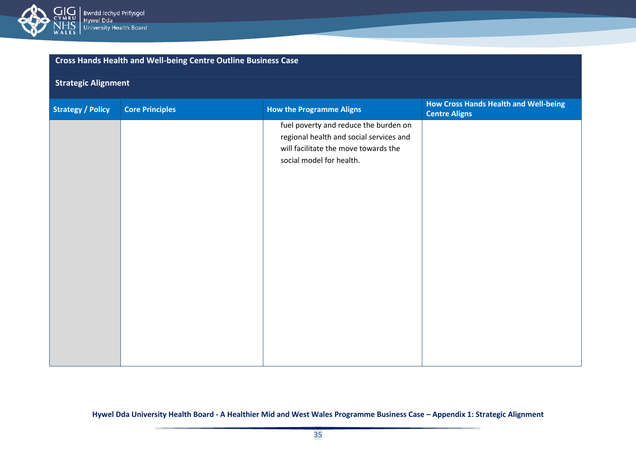

## **Strategic Alignment**

| <b>Strategy / Policy</b> | <b>Core Principles</b> | <b>How the Programme Aligns</b>         | <b>How Cross Hands Health and Well-being</b><br><b>Centre Aligns</b> |
|--------------------------|------------------------|-----------------------------------------|----------------------------------------------------------------------|
|                          |                        | fuel poverty and reduce the burden on   |                                                                      |
|                          |                        | regional health and social services and |                                                                      |
|                          |                        | will facilitate the move towards the    |                                                                      |
|                          |                        | social model for health.                |                                                                      |
|                          |                        |                                         |                                                                      |
|                          |                        |                                         |                                                                      |
|                          |                        |                                         |                                                                      |
|                          |                        |                                         |                                                                      |
|                          |                        |                                         |                                                                      |
|                          |                        |                                         |                                                                      |
|                          |                        |                                         |                                                                      |
|                          |                        |                                         |                                                                      |
|                          |                        |                                         |                                                                      |
|                          |                        |                                         |                                                                      |
|                          |                        |                                         |                                                                      |
|                          |                        |                                         |                                                                      |
|                          |                        |                                         |                                                                      |
|                          |                        |                                         |                                                                      |
|                          |                        |                                         |                                                                      |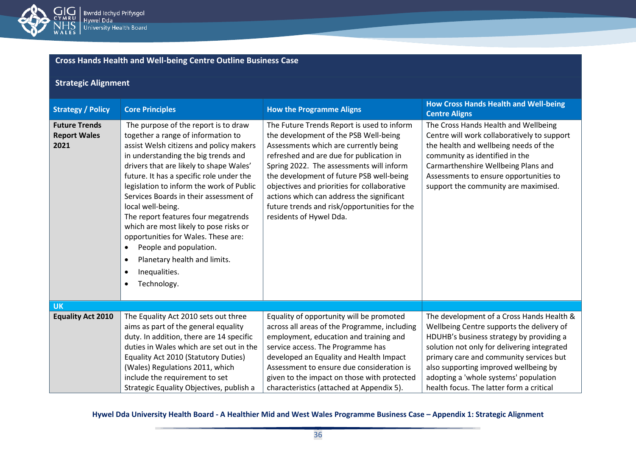

## **Strategic Alignment**

| <b>Strategy / Policy</b>                            | <b>Core Principles</b>                                                                                                                                                                                                                                                                                                                                                                                                                                                                                                                                                                                                               | <b>How the Programme Aligns</b>                                                                                                                                                                                                                                                                                                                                                                                                         | <b>How Cross Hands Health and Well-being</b><br><b>Centre Aligns</b>                                                                                                                                                                                                                                                                                       |
|-----------------------------------------------------|--------------------------------------------------------------------------------------------------------------------------------------------------------------------------------------------------------------------------------------------------------------------------------------------------------------------------------------------------------------------------------------------------------------------------------------------------------------------------------------------------------------------------------------------------------------------------------------------------------------------------------------|-----------------------------------------------------------------------------------------------------------------------------------------------------------------------------------------------------------------------------------------------------------------------------------------------------------------------------------------------------------------------------------------------------------------------------------------|------------------------------------------------------------------------------------------------------------------------------------------------------------------------------------------------------------------------------------------------------------------------------------------------------------------------------------------------------------|
| <b>Future Trends</b><br><b>Report Wales</b><br>2021 | The purpose of the report is to draw<br>together a range of information to<br>assist Welsh citizens and policy makers<br>in understanding the big trends and<br>drivers that are likely to shape Wales'<br>future. It has a specific role under the<br>legislation to inform the work of Public<br>Services Boards in their assessment of<br>local well-being.<br>The report features four megatrends<br>which are most likely to pose risks or<br>opportunities for Wales. These are:<br>People and population.<br>$\bullet$<br>Planetary health and limits.<br>$\bullet$<br>Inequalities.<br>$\bullet$<br>Technology.<br>$\bullet$ | The Future Trends Report is used to inform<br>the development of the PSB Well-being<br>Assessments which are currently being<br>refreshed and are due for publication in<br>Spring 2022. The assessments will inform<br>the development of future PSB well-being<br>objectives and priorities for collaborative<br>actions which can address the significant<br>future trends and risk/opportunities for the<br>residents of Hywel Dda. | The Cross Hands Health and Wellbeing<br>Centre will work collaboratively to support<br>the health and wellbeing needs of the<br>community as identified in the<br>Carmarthenshire Wellbeing Plans and<br>Assessments to ensure opportunities to<br>support the community are maximised.                                                                    |
| <b>UK</b>                                           |                                                                                                                                                                                                                                                                                                                                                                                                                                                                                                                                                                                                                                      |                                                                                                                                                                                                                                                                                                                                                                                                                                         |                                                                                                                                                                                                                                                                                                                                                            |
| <b>Equality Act 2010</b>                            | The Equality Act 2010 sets out three<br>aims as part of the general equality<br>duty. In addition, there are 14 specific<br>duties in Wales which are set out in the<br>Equality Act 2010 (Statutory Duties)<br>(Wales) Regulations 2011, which<br>include the requirement to set<br>Strategic Equality Objectives, publish a                                                                                                                                                                                                                                                                                                        | Equality of opportunity will be promoted<br>across all areas of the Programme, including<br>employment, education and training and<br>service access. The Programme has<br>developed an Equality and Health Impact<br>Assessment to ensure due consideration is<br>given to the impact on those with protected<br>characteristics (attached at Appendix 5).                                                                             | The development of a Cross Hands Health &<br>Wellbeing Centre supports the delivery of<br>HDUHB's business strategy by providing a<br>solution not only for delivering integrated<br>primary care and community services but<br>also supporting improved wellbeing by<br>adopting a 'whole systems' population<br>health focus. The latter form a critical |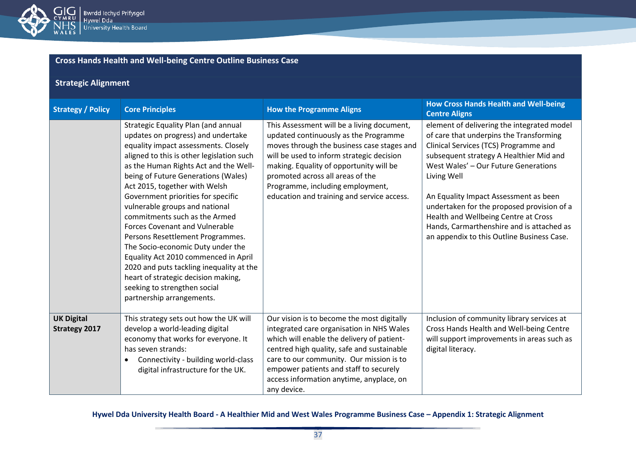

#### **Strategic Alignment Strategy / Policy Core Principles How the Programme Aligns How Cross Hands Health and Well-being <b>Correlation Controlled Burger Centre Aligns** Strategic Equality Plan (and annual updates on progress) and undertake equality impact assessments. Closely aligned to this is other legislation such as the Human Rights Act and the Wellbeing of Future Generations (Wales) Act 2015, together with Welsh Government priorities for specific vulnerable groups and national commitments such as the Armed This Assessment will be a living document, updated continuously as the Programme moves through the business case stages and<br>will be used to inform students decision will be used to inform strategic decision making. Equality of opportunity will be promoted across all areas of the Programme, including employment, education and training and service access. element of delivering the integrated model of care that underpins the Transforming Clinical Services (TCS) Programme and

|                                           | aligned to this is other legislation such<br>as the Human Rights Act and the Well-<br>being of Future Generations (Wales)<br>Act 2015, together with Welsh<br>Government priorities for specific<br>vulnerable groups and national<br>commitments such as the Armed<br><b>Forces Covenant and Vulnerable</b><br>Persons Resettlement Programmes.<br>The Socio-economic Duty under the<br>Equality Act 2010 commenced in April<br>2020 and puts tackling inequality at the<br>heart of strategic decision making,<br>seeking to strengthen social<br>partnership arrangements. | will be used to inform strategic decision<br>making. Equality of opportunity will be<br>promoted across all areas of the<br>Programme, including employment,<br>education and training and service access.                                                                                                            | subsequent strategy A Healthier Mid and<br>West Wales' - Our Future Generations<br>Living Well<br>An Equality Impact Assessment as been<br>undertaken for the proposed provision of a<br>Health and Wellbeing Centre at Cross<br>Hands, Carmarthenshire and is attached as<br>an appendix to this Outline Business Case. |
|-------------------------------------------|-------------------------------------------------------------------------------------------------------------------------------------------------------------------------------------------------------------------------------------------------------------------------------------------------------------------------------------------------------------------------------------------------------------------------------------------------------------------------------------------------------------------------------------------------------------------------------|-----------------------------------------------------------------------------------------------------------------------------------------------------------------------------------------------------------------------------------------------------------------------------------------------------------------------|--------------------------------------------------------------------------------------------------------------------------------------------------------------------------------------------------------------------------------------------------------------------------------------------------------------------------|
| <b>UK Digital</b><br><b>Strategy 2017</b> | This strategy sets out how the UK will<br>develop a world-leading digital<br>economy that works for everyone. It<br>has seven strands:<br>Connectivity - building world-class<br>$\bullet$<br>digital infrastructure for the UK.                                                                                                                                                                                                                                                                                                                                              | Our vision is to become the most digitally<br>integrated care organisation in NHS Wales<br>which will enable the delivery of patient-<br>centred high quality, safe and sustainable<br>care to our community. Our mission is to<br>empower patients and staff to securely<br>access information anytime, anyplace, on | Inclusion of community library services at<br>Cross Hands Health and Well-being Centre<br>will support improvements in areas such as<br>digital literacy.                                                                                                                                                                |

#### **Hywel Dda University Health Board - A Healthier Mid and West Wales Programme Business Case – Appendix 1: Strategic Alignment**

any device.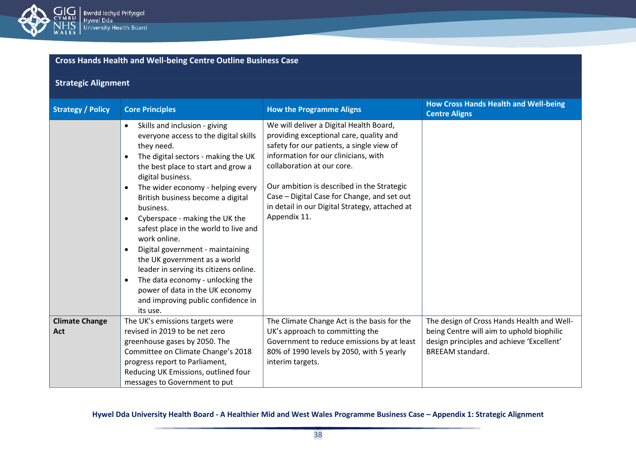

## **Strategic Alignment**

| <b>Strategy / Policy</b>     | <b>Core Principles</b>                                                                                                                                                                                                                                                                                                                                                                                                                                                                                                                                                                                                                                 | <b>How the Programme Aligns</b>                                                                                                                                                                                                                                                                                                                                      | <b>How Cross Hands Health and Well-being</b><br><b>Centre Aligns</b>                                                                                            |
|------------------------------|--------------------------------------------------------------------------------------------------------------------------------------------------------------------------------------------------------------------------------------------------------------------------------------------------------------------------------------------------------------------------------------------------------------------------------------------------------------------------------------------------------------------------------------------------------------------------------------------------------------------------------------------------------|----------------------------------------------------------------------------------------------------------------------------------------------------------------------------------------------------------------------------------------------------------------------------------------------------------------------------------------------------------------------|-----------------------------------------------------------------------------------------------------------------------------------------------------------------|
|                              | Skills and inclusion - giving<br>$\bullet$<br>everyone access to the digital skills<br>they need.<br>The digital sectors - making the UK<br>the best place to start and grow a<br>digital business.<br>The wider economy - helping every<br>British business become a digital<br>business.<br>Cyberspace - making the UK the<br>$\bullet$<br>safest place in the world to live and<br>work online.<br>Digital government - maintaining<br>the UK government as a world<br>leader in serving its citizens online.<br>The data economy - unlocking the<br>$\bullet$<br>power of data in the UK economy<br>and improving public confidence in<br>its use. | We will deliver a Digital Health Board,<br>providing exceptional care, quality and<br>safety for our patients, a single view of<br>information for our clinicians, with<br>collaboration at our core.<br>Our ambition is described in the Strategic<br>Case - Digital Case for Change, and set out<br>in detail in our Digital Strategy, attached at<br>Appendix 11. |                                                                                                                                                                 |
| <b>Climate Change</b><br>Act | The UK's emissions targets were<br>revised in 2019 to be net zero<br>greenhouse gases by 2050. The<br>Committee on Climate Change's 2018<br>progress report to Parliament,<br>Reducing UK Emissions, outlined four<br>messages to Government to put                                                                                                                                                                                                                                                                                                                                                                                                    | The Climate Change Act is the basis for the<br>UK's approach to committing the<br>Government to reduce emissions by at least<br>80% of 1990 levels by 2050, with 5 yearly<br>interim targets.                                                                                                                                                                        | The design of Cross Hands Health and Well-<br>being Centre will aim to uphold biophilic<br>design principles and achieve 'Excellent'<br><b>BREEAM</b> standard. |